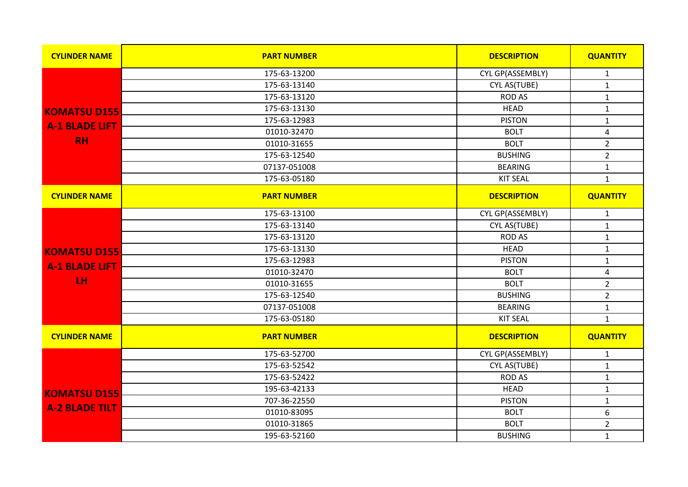| <b>CYLINDER NAME</b>  | <b>PART NUMBER</b> | <b>DESCRIPTION</b> | <b>QUANTITY</b>         |
|-----------------------|--------------------|--------------------|-------------------------|
|                       | 175-63-13200       | CYL GP(ASSEMBLY)   | $\mathbf{1}$            |
|                       | 175-63-13140       | CYL AS(TUBE)       | $\mathbf{1}$            |
|                       | 175-63-13120       | <b>ROD AS</b>      | $\mathbf{1}$            |
| <b>KOMATSU D155</b>   | 175-63-13130       | <b>HEAD</b>        | $\mathbf 1$             |
| <b>A-1 BLADE LIFT</b> | 175-63-12983       | <b>PISTON</b>      | $\mathbf 1$             |
|                       | 01010-32470        | <b>BOLT</b>        | $\overline{4}$          |
| <b>RH</b>             | 01010-31655        | <b>BOLT</b>        | $\overline{2}$          |
|                       | 175-63-12540       | <b>BUSHING</b>     | $\overline{2}$          |
|                       | 07137-051008       | <b>BEARING</b>     | $\mathbf 1$             |
|                       | 175-63-05180       | <b>KIT SEAL</b>    | $\mathbf{1}$            |
| <b>CYLINDER NAME</b>  | <b>PART NUMBER</b> | <b>DESCRIPTION</b> | <b>QUANTITY</b>         |
|                       | 175-63-13100       | CYL GP(ASSEMBLY)   | $\mathbf{1}$            |
|                       | 175-63-13140       | CYL AS(TUBE)       | $\mathbf{1}$            |
|                       | 175-63-13120       | <b>ROD AS</b>      | $\mathbf{1}$            |
| <b>KOMATSU D155</b>   | 175-63-13130       | <b>HEAD</b>        | $\mathbf{1}$            |
| <b>A-1 BLADE LIFT</b> | 175-63-12983       | <b>PISTON</b>      | $\mathbf{1}$            |
|                       | 01010-32470        | <b>BOLT</b>        | $\overline{\mathbf{4}}$ |
| LH                    | 01010-31655        | <b>BOLT</b>        | $\overline{2}$          |
|                       | 175-63-12540       | <b>BUSHING</b>     | $\overline{2}$          |
|                       | 07137-051008       | <b>BEARING</b>     | $\mathbf 1$             |
|                       | 175-63-05180       | <b>KIT SEAL</b>    | $\mathbf{1}$            |
| <b>CYLINDER NAME</b>  | <b>PART NUMBER</b> | <b>DESCRIPTION</b> | <b>QUANTITY</b>         |
|                       | 175-63-52700       | CYL GP(ASSEMBLY)   | $\mathbf{1}$            |
|                       | 175-63-52542       | CYL AS(TUBE)       | $\mathbf 1$             |
|                       | 175-63-52422       | <b>ROD AS</b>      | $\mathbf{1}$            |
| <b>KOMATSU D155</b>   | 195-63-42133       | <b>HEAD</b>        | $\mathbf 1$             |
|                       | 707-36-22550       | <b>PISTON</b>      | $\mathbf{1}$            |
| <b>A-2 BLADE TILT</b> | 01010-83095        | <b>BOLT</b>        | $\boldsymbol{6}$        |
|                       | 01010-31865        | <b>BOLT</b>        | $\overline{2}$          |
|                       | 195-63-52160       | <b>BUSHING</b>     | $\mathbf{1}$            |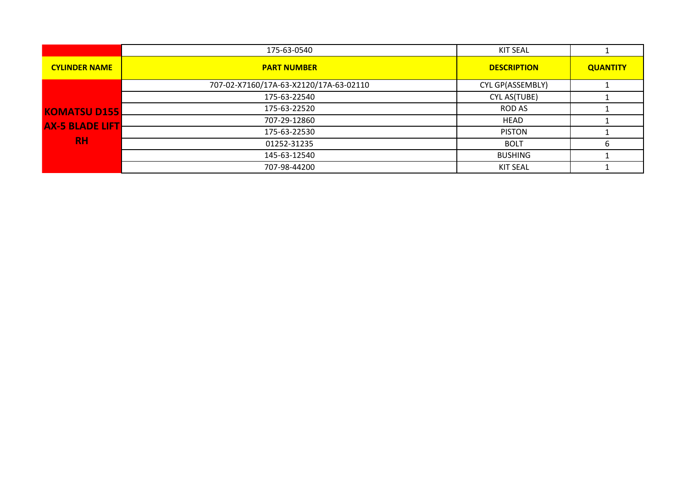|                        | 175-63-0540                            | <b>KIT SEAL</b>    |                 |
|------------------------|----------------------------------------|--------------------|-----------------|
| <b>CYLINDER NAME</b>   | <b>PART NUMBER</b>                     | <b>DESCRIPTION</b> | <b>QUANTITY</b> |
|                        | 707-02-X7160/17A-63-X2120/17A-63-02110 | CYL GP(ASSEMBLY)   |                 |
|                        | 175-63-22540                           | CYL AS(TUBE)       |                 |
| <b>KOMATSU D155</b>    | 175-63-22520                           | ROD AS             |                 |
| <b>AX-5 BLADE LIFT</b> | 707-29-12860                           | <b>HEAD</b>        |                 |
|                        | 175-63-22530                           | <b>PISTON</b>      |                 |
| <b>RH</b>              | 01252-31235                            | <b>BOLT</b>        | b               |
|                        | 145-63-12540                           | <b>BUSHING</b>     |                 |
|                        | 707-98-44200                           | KIT SEAL           |                 |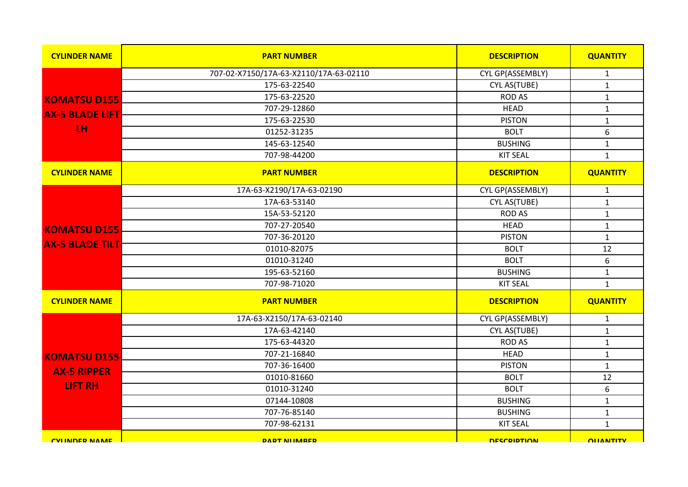| <b>CYLINDER NAME</b>    | <b>PART NUMBER</b>                     | <b>DESCRIPTION</b> | <b>QUANTITY</b>  |
|-------------------------|----------------------------------------|--------------------|------------------|
|                         | 707-02-X7150/17A-63-X2110/17A-63-02110 | CYL GP(ASSEMBLY)   | $\mathbf{1}$     |
|                         | 175-63-22540                           | CYL AS(TUBE)       | $\mathbf{1}$     |
| <b>KOMATSU D155</b>     | 175-63-22520                           | <b>ROD AS</b>      | $\mathbf{1}$     |
| <b>AX-5 BLADE LIFT</b>  | 707-29-12860                           | <b>HEAD</b>        | $\mathbf{1}$     |
|                         | 175-63-22530                           | <b>PISTON</b>      | $\mathbf 1$      |
| LH <sub>1</sub>         | 01252-31235                            | <b>BOLT</b>        | $\boldsymbol{6}$ |
|                         | 145-63-12540                           | <b>BUSHING</b>     | $\mathbf 1$      |
|                         | 707-98-44200                           | <b>KIT SEAL</b>    | $\mathbf{1}$     |
| <b>CYLINDER NAME</b>    | <b>PART NUMBER</b>                     | <b>DESCRIPTION</b> | <b>QUANTITY</b>  |
|                         | 17A-63-X2190/17A-63-02190              | CYL GP(ASSEMBLY)   | $\mathbf{1}$     |
|                         | 17A-63-53140                           | CYL AS(TUBE)       | $\mathbf{1}$     |
|                         | 15A-53-52120                           | <b>ROD AS</b>      | $\mathbf 1$      |
| <b>KOMATSU D155</b>     | 707-27-20540                           | <b>HEAD</b>        | $\mathbf{1}$     |
|                         | 707-36-20120                           | <b>PISTON</b>      | $\mathbf{1}$     |
| <b>AX-5 BLADE TILT</b>  | 01010-82075                            | <b>BOLT</b>        | 12               |
|                         | 01010-31240                            | <b>BOLT</b>        | $\boldsymbol{6}$ |
|                         | 195-63-52160                           | <b>BUSHING</b>     | $\mathbf 1$      |
|                         | 707-98-71020                           | <b>KIT SEAL</b>    | $\mathbf{1}$     |
| <b>CYLINDER NAME</b>    | <b>PART NUMBER</b>                     | <b>DESCRIPTION</b> | <b>QUANTITY</b>  |
|                         | 17A-63-X2150/17A-63-02140              | CYL GP(ASSEMBLY)   | $\mathbf{1}$     |
|                         | 17A-63-42140                           | CYL AS(TUBE)       | $\mathbf{1}$     |
|                         | 175-63-44320                           | <b>ROD AS</b>      | $\mathbf{1}$     |
| <b>KOMATSU D155</b>     | 707-21-16840                           | <b>HEAD</b>        | $\mathbf{1}$     |
| <b>AX-5 RIPPER</b>      | 707-36-16400                           | <b>PISTON</b>      | $\mathbf{1}$     |
|                         | 01010-81660                            | <b>BOLT</b>        | $12\,$           |
| <b>LIFT RH</b>          | 01010-31240                            | <b>BOLT</b>        | $\boldsymbol{6}$ |
|                         | 07144-10808                            | <b>BUSHING</b>     | $\mathbf{1}$     |
|                         | 707-76-85140                           | <b>BUSHING</b>     | $\mathbf 1$      |
|                         | 707-98-62131                           | <b>KIT SEAL</b>    | $\mathbf{1}$     |
| <b>CVILINIDER NIAME</b> | <b>DART NIIMARER</b>                   | <b>DESCRIPTION</b> | <b>OLIANTITY</b> |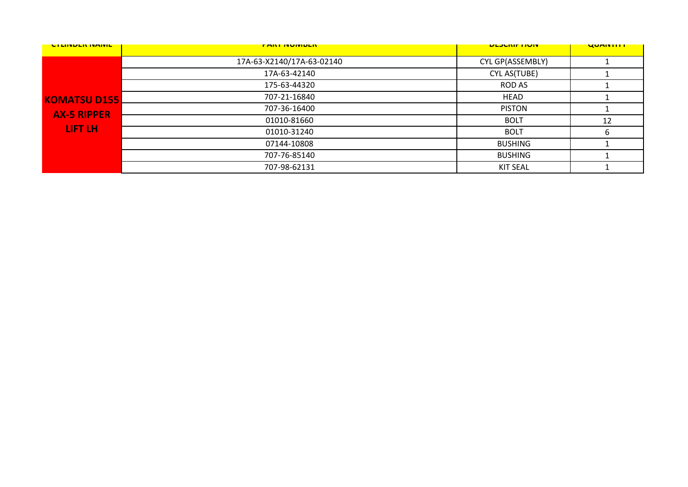| <b>CILINDER INAIVIL</b> | <b>FANI IVUIVIDLIV</b>    | <b>ULJUNIF HUIV</b> | <b>UUMINIIII</b> |
|-------------------------|---------------------------|---------------------|------------------|
|                         | 17A-63-X2140/17A-63-02140 | CYL GP(ASSEMBLY)    |                  |
|                         | 17A-63-42140              | CYL AS(TUBE)        |                  |
|                         | 175-63-44320              | ROD AS              |                  |
| <b>KOMATSU D155</b>     | 707-21-16840              | <b>HEAD</b>         |                  |
| <b>AX-5 RIPPER</b>      | 707-36-16400              | <b>PISTON</b>       |                  |
|                         | 01010-81660               | <b>BOLT</b>         | 12               |
| LIFT LH                 | 01010-31240               | <b>BOLT</b>         | h                |
|                         | 07144-10808               | <b>BUSHING</b>      |                  |
|                         | 707-76-85140              | <b>BUSHING</b>      |                  |
|                         | 707-98-62131              | <b>KIT SEAL</b>     |                  |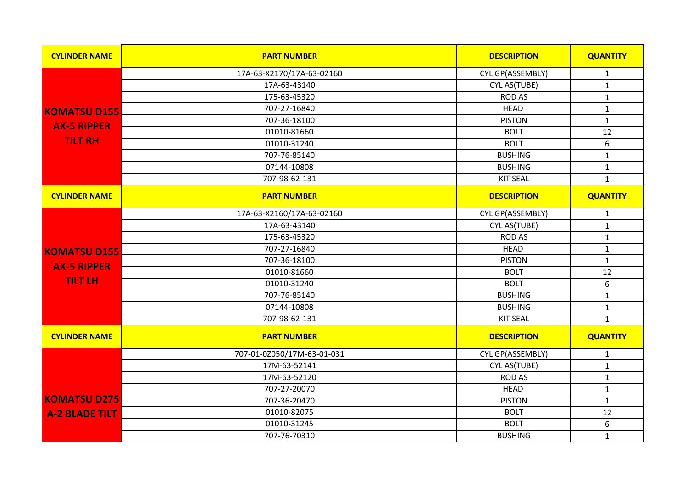| <b>CYLINDER NAME</b>  | <b>PART NUMBER</b>         | <b>DESCRIPTION</b> | <b>QUANTITY</b>  |
|-----------------------|----------------------------|--------------------|------------------|
|                       | 17A-63-X2170/17A-63-02160  | CYL GP(ASSEMBLY)   | $\mathbf{1}$     |
|                       | 17A-63-43140               | CYL AS(TUBE)       | $\mathbf{1}$     |
|                       | 175-63-45320               | <b>ROD AS</b>      | $\mathbf{1}$     |
| <b>KOMATSU D155</b>   | 707-27-16840               | <b>HEAD</b>        | $\mathbf{1}$     |
| <b>AX-5 RIPPER</b>    | 707-36-18100               | <b>PISTON</b>      | $\mathbf{1}$     |
|                       | 01010-81660                | <b>BOLT</b>        | $12\,$           |
| <b>TILT RH</b>        | 01010-31240                | <b>BOLT</b>        | 6                |
|                       | 707-76-85140               | <b>BUSHING</b>     | $\mathbf{1}$     |
|                       | 07144-10808                | <b>BUSHING</b>     | $\mathbf{1}$     |
|                       | 707-98-62-131              | <b>KIT SEAL</b>    | $\mathbf{1}$     |
| <b>CYLINDER NAME</b>  | <b>PART NUMBER</b>         | <b>DESCRIPTION</b> | <b>QUANTITY</b>  |
|                       | 17A-63-X2160/17A-63-02160  | CYL GP(ASSEMBLY)   | $\mathbf{1}$     |
|                       | 17A-63-43140               | CYL AS(TUBE)       | $\mathbf{1}$     |
|                       | 175-63-45320               | <b>ROD AS</b>      | $\mathbf{1}$     |
| <b>KOMATSU D155</b>   | 707-27-16840               | <b>HEAD</b>        | $\mathbf 1$      |
| <b>AX-5 RIPPER</b>    | 707-36-18100               | <b>PISTON</b>      | $\mathbf{1}$     |
|                       | 01010-81660                | <b>BOLT</b>        | 12               |
| <b>TILT LH</b>        | 01010-31240                | <b>BOLT</b>        | $\boldsymbol{6}$ |
|                       | 707-76-85140               | <b>BUSHING</b>     | $\mathbf 1$      |
|                       | 07144-10808                | <b>BUSHING</b>     | $\mathbf 1$      |
|                       | 707-98-62-131              | <b>KIT SEAL</b>    | $\mathbf{1}$     |
| <b>CYLINDER NAME</b>  | <b>PART NUMBER</b>         | <b>DESCRIPTION</b> | <b>QUANTITY</b>  |
|                       | 707-01-0Z050/17M-63-01-031 | CYL GP(ASSEMBLY)   | $\mathbf{1}$     |
|                       | 17M-63-52141               | CYL AS(TUBE)       | $\mathbf 1$      |
|                       | 17M-63-52120               | <b>ROD AS</b>      | $\mathbf{1}$     |
|                       | 707-27-20070               | <b>HEAD</b>        | $1\,$            |
| <b>KOMATSU D275</b>   | 707-36-20470               | <b>PISTON</b>      | $\mathbf{1}$     |
| <b>A-2 BLADE TILT</b> | 01010-82075                | <b>BOLT</b>        | 12               |
|                       | 01010-31245                | <b>BOLT</b>        | 6                |
|                       | 707-76-70310               | <b>BUSHING</b>     | $\mathbf{1}$     |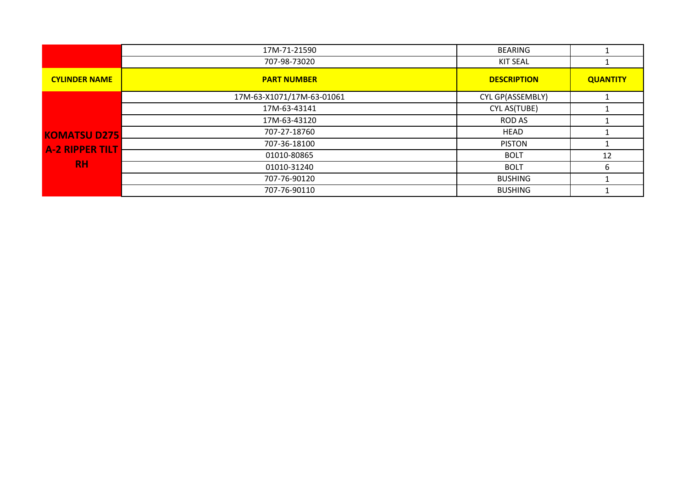|                        | 17M-71-21590              | BEARING            |                 |
|------------------------|---------------------------|--------------------|-----------------|
|                        | 707-98-73020              | <b>KIT SEAL</b>    |                 |
| <b>CYLINDER NAME</b>   | <b>PART NUMBER</b>        | <b>DESCRIPTION</b> | <b>QUANTITY</b> |
|                        | 17M-63-X1071/17M-63-01061 | CYL GP(ASSEMBLY)   |                 |
|                        | 17M-63-43141              | CYL AS(TUBE)       |                 |
|                        | 17M-63-43120              | ROD AS             |                 |
| <b>KOMATSU D275</b>    | 707-27-18760              | <b>HEAD</b>        |                 |
| <b>A-2 RIPPER TILT</b> | 707-36-18100              | <b>PISTON</b>      |                 |
|                        | 01010-80865               | <b>BOLT</b>        | 12              |
| <b>RH</b>              | 01010-31240               | <b>BOLT</b>        | 6               |
|                        | 707-76-90120              | <b>BUSHING</b>     |                 |
|                        | 707-76-90110              | <b>BUSHING</b>     |                 |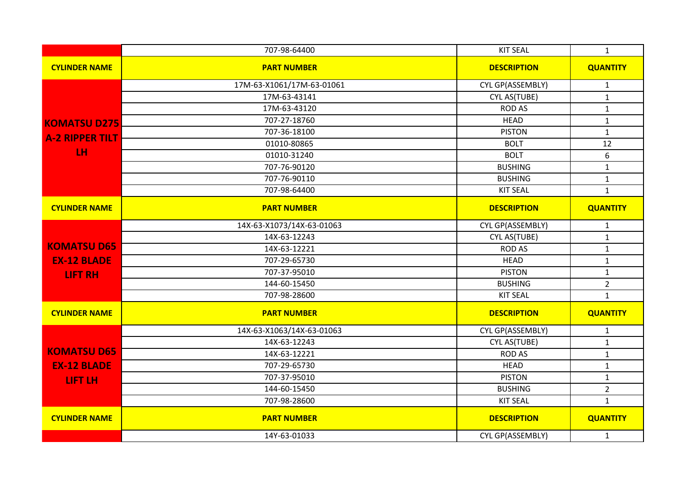|                        | 707-98-64400              | <b>KIT SEAL</b>         | $\mathbf{1}$     |
|------------------------|---------------------------|-------------------------|------------------|
| <b>CYLINDER NAME</b>   | <b>PART NUMBER</b>        | <b>DESCRIPTION</b>      | <b>QUANTITY</b>  |
|                        | 17M-63-X1061/17M-63-01061 | <b>CYL GP(ASSEMBLY)</b> | $\mathbf{1}$     |
|                        | 17M-63-43141              | CYL AS(TUBE)            | $\mathbf{1}$     |
|                        | 17M-63-43120              | <b>ROD AS</b>           | $\mathbf 1$      |
| <b>KOMATSU D275</b>    | 707-27-18760              | <b>HEAD</b>             | $\mathbf 1$      |
| <b>A-2 RIPPER TILT</b> | 707-36-18100              | <b>PISTON</b>           | $\mathbf{1}$     |
|                        | 01010-80865               | <b>BOLT</b>             | 12               |
| LH.                    | 01010-31240               | <b>BOLT</b>             | $\boldsymbol{6}$ |
|                        | 707-76-90120              | <b>BUSHING</b>          | $\mathbf{1}$     |
|                        | 707-76-90110              | <b>BUSHING</b>          | $\mathbf{1}$     |
|                        | 707-98-64400              | <b>KIT SEAL</b>         | $\mathbf{1}$     |
| <b>CYLINDER NAME</b>   | <b>PART NUMBER</b>        | <b>DESCRIPTION</b>      | <b>QUANTITY</b>  |
|                        | 14X-63-X1073/14X-63-01063 | CYL GP(ASSEMBLY)        | $\mathbf{1}$     |
|                        | 14X-63-12243              | CYL AS(TUBE)            | $\mathbf{1}$     |
| <b>KOMATSU D65</b>     | 14X-63-12221              | <b>ROD AS</b>           | $\mathbf 1$      |
| <b>EX-12 BLADE</b>     | 707-29-65730              | <b>HEAD</b>             | $\mathbf{1}$     |
| <b>LIFT RH</b>         | 707-37-95010              | <b>PISTON</b>           | $\mathbf 1$      |
|                        | 144-60-15450              | <b>BUSHING</b>          | $\overline{2}$   |
|                        | 707-98-28600              | <b>KIT SEAL</b>         | $\mathbf{1}$     |
| <b>CYLINDER NAME</b>   | <b>PART NUMBER</b>        | <b>DESCRIPTION</b>      | <b>QUANTITY</b>  |
|                        | 14X-63-X1063/14X-63-01063 | CYL GP(ASSEMBLY)        | $\mathbf{1}$     |
|                        | 14X-63-12243              | CYL AS(TUBE)            | $\mathbf{1}$     |
| <b>KOMATSU D65</b>     | 14X-63-12221              | <b>ROD AS</b>           | $\mathbf{1}$     |
| <b>EX-12 BLADE</b>     | 707-29-65730              | <b>HEAD</b>             | $\mathbf{1}$     |
| <b>LIFT LH</b>         | 707-37-95010              | <b>PISTON</b>           | $\mathbf{1}$     |
|                        | 144-60-15450              | <b>BUSHING</b>          | $\overline{2}$   |
|                        | 707-98-28600              | <b>KIT SEAL</b>         | $\mathbf{1}$     |
| <b>CYLINDER NAME</b>   | <b>PART NUMBER</b>        | <b>DESCRIPTION</b>      | <b>QUANTITY</b>  |
|                        | 14Y-63-01033              | CYL GP(ASSEMBLY)        | $\mathbf{1}$     |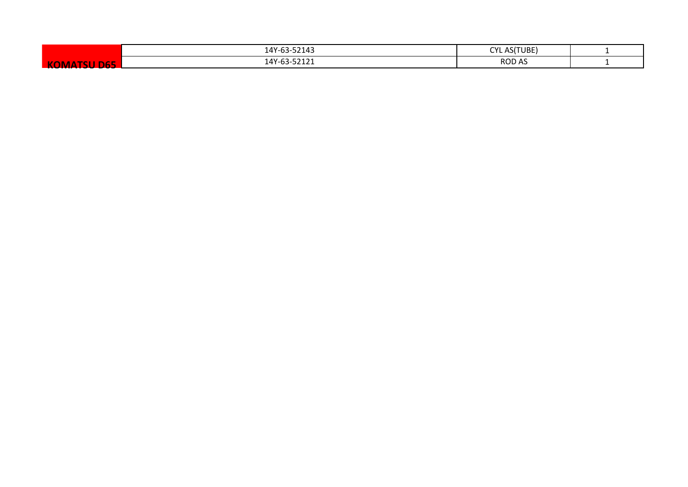|                                                  | 14Y-63-52143 | AS(TUBE)<br><b>CYL</b> |  |
|--------------------------------------------------|--------------|------------------------|--|
| <b>COLORED STATE</b><br><b>KOM</b><br>ТC.<br>Dhh | 14Y-63-52121 | <b>ROD AS</b>          |  |
|                                                  |              |                        |  |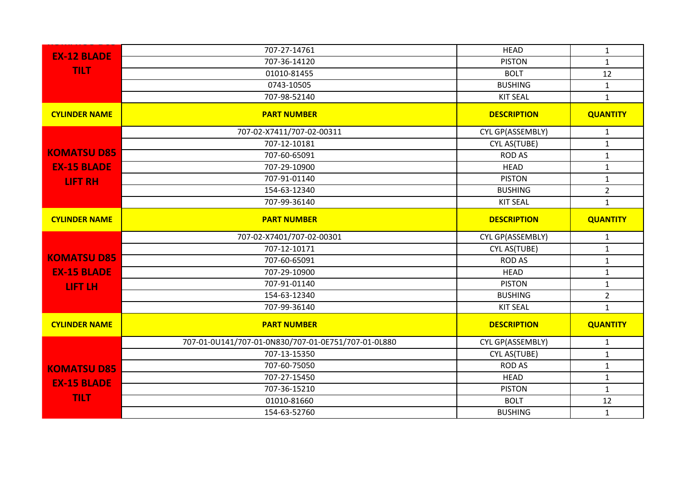| <b>EX-12 BLADE</b>   | 707-27-14761                                        | <b>HEAD</b>        | $\mathbf{1}$    |
|----------------------|-----------------------------------------------------|--------------------|-----------------|
|                      | 707-36-14120                                        | <b>PISTON</b>      | $\mathbf{1}$    |
| <b>TILT</b>          | 01010-81455                                         | <b>BOLT</b>        | 12              |
|                      | 0743-10505                                          | <b>BUSHING</b>     | $\mathbf{1}$    |
|                      | 707-98-52140                                        | <b>KIT SEAL</b>    | $\mathbf{1}$    |
| <b>CYLINDER NAME</b> | <b>PART NUMBER</b>                                  | <b>DESCRIPTION</b> | <b>QUANTITY</b> |
|                      | 707-02-X7411/707-02-00311                           | CYL GP(ASSEMBLY)   | $\mathbf{1}$    |
|                      | 707-12-10181                                        | CYL AS(TUBE)       | $\mathbf{1}$    |
| <b>KOMATSU D85</b>   | 707-60-65091                                        | <b>ROD AS</b>      | $\mathbf{1}$    |
| <b>EX-15 BLADE</b>   | 707-29-10900                                        | <b>HEAD</b>        | $\mathbf{1}$    |
| <b>LIFT RH</b>       | 707-91-01140                                        | <b>PISTON</b>      | $\mathbf{1}$    |
|                      | 154-63-12340                                        | <b>BUSHING</b>     | $\overline{2}$  |
|                      | 707-99-36140                                        | <b>KIT SEAL</b>    | $\mathbf{1}$    |
| <b>CYLINDER NAME</b> | <b>PART NUMBER</b>                                  | <b>DESCRIPTION</b> | <b>QUANTITY</b> |
|                      | 707-02-X7401/707-02-00301                           | CYL GP(ASSEMBLY)   | $\mathbf{1}$    |
|                      | 707-12-10171                                        | CYL AS(TUBE)       | $\mathbf{1}$    |
| <b>KOMATSU D85</b>   | 707-60-65091                                        | <b>ROD AS</b>      | $\mathbf 1$     |
| <b>EX-15 BLADE</b>   | 707-29-10900                                        | <b>HEAD</b>        | $\mathbf 1$     |
| LIFT LH              | 707-91-01140                                        | <b>PISTON</b>      | $\mathbf{1}$    |
|                      | 154-63-12340                                        | <b>BUSHING</b>     | $\overline{2}$  |
|                      | 707-99-36140                                        | <b>KIT SEAL</b>    | $\mathbf{1}$    |
| <b>CYLINDER NAME</b> | <b>PART NUMBER</b>                                  | <b>DESCRIPTION</b> | <b>QUANTITY</b> |
|                      | 707-01-0U141/707-01-0N830/707-01-0E751/707-01-0L880 | CYL GP(ASSEMBLY)   | $\mathbf{1}$    |
|                      | 707-13-15350                                        | CYL AS(TUBE)       | $\mathbf{1}$    |
| <b>KOMATSU D85</b>   | 707-60-75050                                        | <b>ROD AS</b>      | $\mathbf{1}$    |
| <b>EX-15 BLADE</b>   | 707-27-15450                                        | <b>HEAD</b>        | $\mathbf{1}$    |
|                      | 707-36-15210                                        | <b>PISTON</b>      | $\mathbf{1}$    |
| <b>TILT</b>          | 01010-81660                                         | <b>BOLT</b>        | 12              |
|                      | 154-63-52760                                        | <b>BUSHING</b>     | $\mathbf{1}$    |
|                      |                                                     |                    |                 |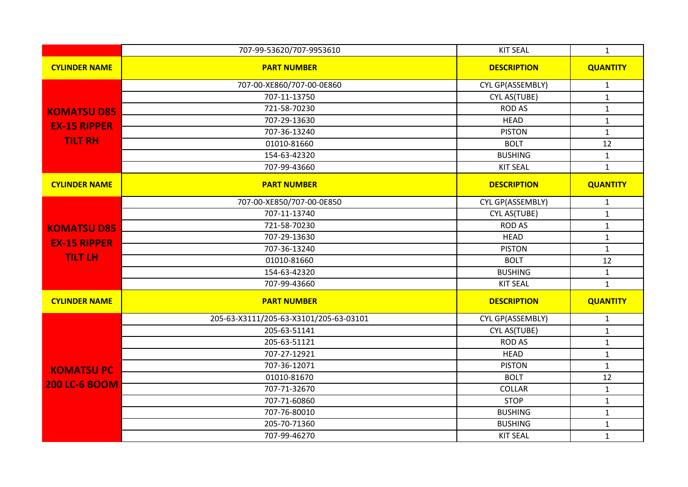|                      | 707-99-53620/707-9953610               | <b>KIT SEAL</b>    | $\mathbf{1}$    |
|----------------------|----------------------------------------|--------------------|-----------------|
| <b>CYLINDER NAME</b> | <b>PART NUMBER</b>                     | <b>DESCRIPTION</b> | <b>QUANTITY</b> |
|                      | 707-00-XE860/707-00-0E860              | CYL GP(ASSEMBLY)   | $\mathbf{1}$    |
|                      | 707-11-13750                           | CYL AS(TUBE)       | $\mathbf{1}$    |
| <b>KOMATSU D85</b>   | 721-58-70230                           | <b>ROD AS</b>      | $\mathbf{1}$    |
| <b>EX-15 RIPPER</b>  | 707-29-13630                           | <b>HEAD</b>        | $\mathbf{1}$    |
|                      | 707-36-13240                           | <b>PISTON</b>      | $\mathbf{1}$    |
| <b>TILT RH</b>       | 01010-81660                            | <b>BOLT</b>        | 12              |
|                      | 154-63-42320                           | <b>BUSHING</b>     | $\mathbf{1}$    |
|                      | 707-99-43660                           | <b>KIT SEAL</b>    | $\mathbf{1}$    |
| <b>CYLINDER NAME</b> | <b>PART NUMBER</b>                     | <b>DESCRIPTION</b> | <b>QUANTITY</b> |
|                      | 707-00-XE850/707-00-0E850              | CYL GP(ASSEMBLY)   | $\mathbf{1}$    |
|                      | 707-11-13740                           | CYL AS(TUBE)       | $\mathbf{1}$    |
| <b>KOMATSU D85</b>   | 721-58-70230                           | <b>ROD AS</b>      | $\mathbf{1}$    |
| <b>EX-15 RIPPER</b>  | 707-29-13630                           | <b>HEAD</b>        | $\mathbf{1}$    |
|                      | 707-36-13240                           | <b>PISTON</b>      | $\mathbf{1}$    |
| <b>TILT LH</b>       | 01010-81660                            | <b>BOLT</b>        | 12              |
|                      | 154-63-42320                           | <b>BUSHING</b>     | $\mathbf{1}$    |
|                      | 707-99-43660                           | <b>KIT SEAL</b>    | $\mathbf{1}$    |
| <b>CYLINDER NAME</b> | <b>PART NUMBER</b>                     | <b>DESCRIPTION</b> | <b>QUANTITY</b> |
|                      | 205-63-X3111/205-63-X3101/205-63-03101 | CYL GP(ASSEMBLY)   | $\mathbf{1}$    |
|                      | 205-63-51141                           | CYL AS(TUBE)       | $\mathbf{1}$    |
|                      | 205-63-51121                           | <b>ROD AS</b>      | $\mathbf{1}$    |
|                      | 707-27-12921                           | <b>HEAD</b>        | $\mathbf{1}$    |
| <b>KOMATSU PC</b>    | 707-36-12071                           | <b>PISTON</b>      | $\mathbf{1}$    |
|                      | 01010-81670                            | <b>BOLT</b>        | 12              |
| <b>200 LC-6 BOOM</b> | 707-71-32670                           | <b>COLLAR</b>      | $\mathbf{1}$    |
|                      | 707-71-60860                           | <b>STOP</b>        | $\mathbf{1}$    |
|                      | 707-76-80010                           | <b>BUSHING</b>     | $\mathbf{1}$    |
|                      | 205-70-71360                           | <b>BUSHING</b>     | $\mathbf{1}$    |
|                      | 707-99-46270                           | <b>KIT SEAL</b>    | $\mathbf{1}$    |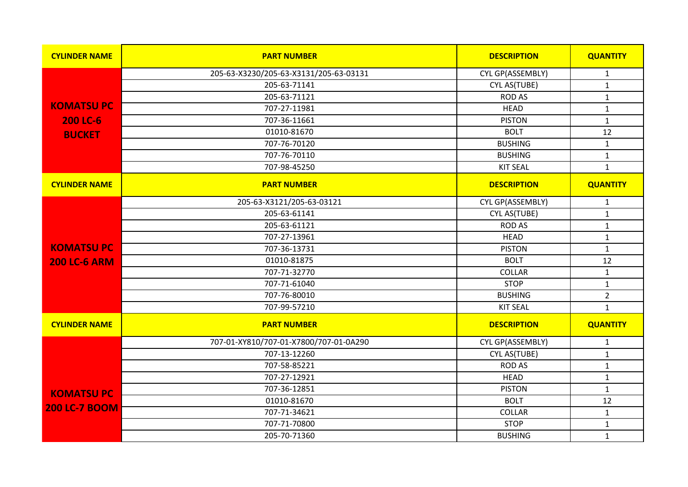| <b>CYLINDER NAME</b> | <b>PART NUMBER</b>                     | <b>DESCRIPTION</b> | <b>QUANTITY</b> |
|----------------------|----------------------------------------|--------------------|-----------------|
|                      | 205-63-X3230/205-63-X3131/205-63-03131 | CYL GP(ASSEMBLY)   | $\mathbf{1}$    |
|                      | 205-63-71141                           | CYL AS(TUBE)       | $\mathbf{1}$    |
|                      | 205-63-71121                           | <b>ROD AS</b>      | $\mathbf 1$     |
| <b>KOMATSUPC</b>     | 707-27-11981                           | <b>HEAD</b>        | $\mathbf{1}$    |
| <b>200 LC-6</b>      | 707-36-11661                           | <b>PISTON</b>      | $\mathbf 1$     |
| <b>BUCKET</b>        | 01010-81670                            | <b>BOLT</b>        | 12              |
|                      | 707-76-70120                           | <b>BUSHING</b>     | $\mathbf{1}$    |
|                      | 707-76-70110                           | <b>BUSHING</b>     | $\mathbf{1}$    |
|                      | 707-98-45250                           | <b>KIT SEAL</b>    | $\mathbf{1}$    |
| <b>CYLINDER NAME</b> | <b>PART NUMBER</b>                     | <b>DESCRIPTION</b> | <b>QUANTITY</b> |
|                      | 205-63-X3121/205-63-03121              | CYL GP(ASSEMBLY)   | $\mathbf{1}$    |
|                      | 205-63-61141                           | CYL AS(TUBE)       | $\mathbf{1}$    |
|                      | 205-63-61121                           | <b>ROD AS</b>      | $\mathbf{1}$    |
|                      | 707-27-13961                           | <b>HEAD</b>        | $\mathbf 1$     |
| <b>KOMATSUPC</b>     | 707-36-13731                           | <b>PISTON</b>      | $\mathbf{1}$    |
| <b>200 LC-6 ARM</b>  | 01010-81875                            | <b>BOLT</b>        | 12              |
|                      | 707-71-32770                           | COLLAR             | $\mathbf{1}$    |
|                      | 707-71-61040                           | <b>STOP</b>        | $\mathbf{1}$    |
|                      | 707-76-80010                           | <b>BUSHING</b>     | $\overline{2}$  |
|                      | 707-99-57210                           | <b>KIT SEAL</b>    | $\mathbf{1}$    |
| <b>CYLINDER NAME</b> | <b>PART NUMBER</b>                     | <b>DESCRIPTION</b> | <b>QUANTITY</b> |
|                      | 707-01-XY810/707-01-X7800/707-01-0A290 | CYL GP(ASSEMBLY)   | $\mathbf{1}$    |
|                      | 707-13-12260                           | CYL AS(TUBE)       | $\mathbf 1$     |
|                      | 707-58-85221                           | <b>ROD AS</b>      | $\mathbf{1}$    |
|                      | 707-27-12921                           | <b>HEAD</b>        | $\mathbf{1}$    |
| <b>KOMATSUPC</b>     | 707-36-12851                           | <b>PISTON</b>      | $\mathbf{1}$    |
|                      | 01010-81670                            | <b>BOLT</b>        | $12\,$          |
| <b>200 LC-7 BOOM</b> | 707-71-34621                           | <b>COLLAR</b>      | $\mathbf 1$     |
|                      | 707-71-70800                           | <b>STOP</b>        | $\mathbf 1$     |
|                      | 205-70-71360                           | <b>BUSHING</b>     | $\mathbf{1}$    |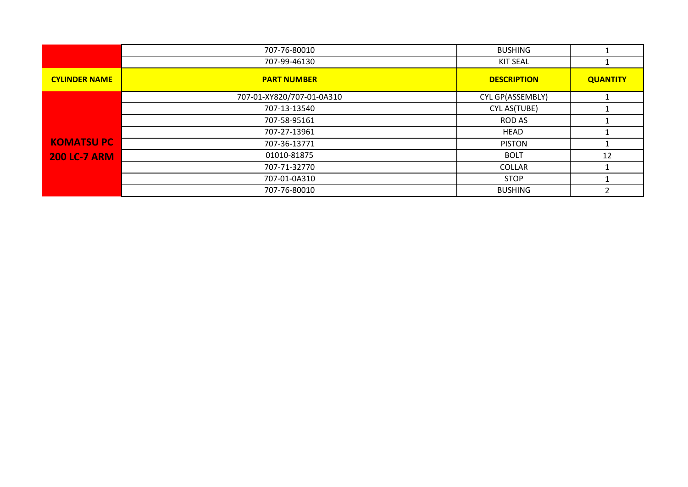|                      | 707-76-80010              | <b>BUSHING</b>     |                 |
|----------------------|---------------------------|--------------------|-----------------|
|                      | 707-99-46130              | <b>KIT SEAL</b>    |                 |
| <b>CYLINDER NAME</b> | <b>PART NUMBER</b>        | <b>DESCRIPTION</b> | <b>QUANTITY</b> |
|                      | 707-01-XY820/707-01-0A310 | CYL GP(ASSEMBLY)   |                 |
|                      | 707-13-13540              | CYL AS(TUBE)       |                 |
|                      | 707-58-95161              | <b>ROD AS</b>      |                 |
|                      | 707-27-13961              | HEAD               |                 |
| <b>KOMATSUPC</b>     | 707-36-13771              | <b>PISTON</b>      |                 |
| <b>200 LC-7 ARM</b>  | 01010-81875               | <b>BOLT</b>        | 12              |
|                      | 707-71-32770              | <b>COLLAR</b>      |                 |
|                      | 707-01-0A310              | <b>STOP</b>        |                 |
|                      | 707-76-80010              | <b>BUSHING</b>     |                 |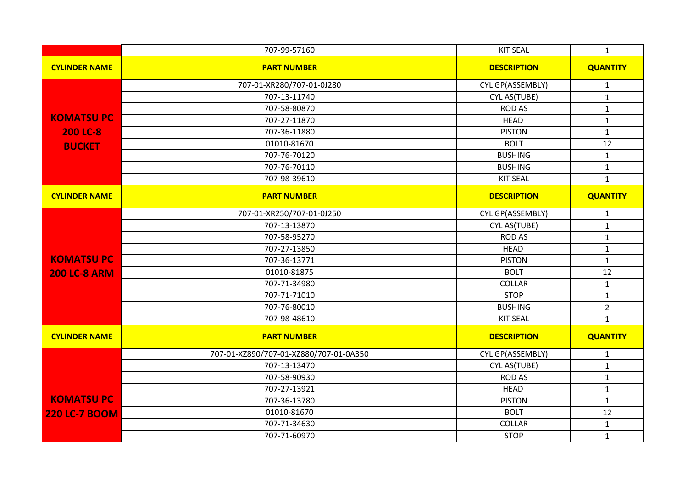|                      | 707-99-57160                           | <b>KIT SEAL</b>    | $\mathbf{1}$    |
|----------------------|----------------------------------------|--------------------|-----------------|
| <b>CYLINDER NAME</b> | <b>PART NUMBER</b>                     | <b>DESCRIPTION</b> | <b>QUANTITY</b> |
|                      | 707-01-XR280/707-01-0J280              | CYL GP(ASSEMBLY)   | $\mathbf{1}$    |
|                      | 707-13-11740                           | CYL AS(TUBE)       | $\mathbf{1}$    |
|                      | 707-58-80870                           | <b>ROD AS</b>      | $\mathbf 1$     |
| <b>KOMATSU PC</b>    | 707-27-11870                           | <b>HEAD</b>        | $\mathbf{1}$    |
| <b>200 LC-8</b>      | 707-36-11880                           | <b>PISTON</b>      | $\mathbf{1}$    |
| <b>BUCKET</b>        | 01010-81670                            | <b>BOLT</b>        | 12              |
|                      | 707-76-70120                           | <b>BUSHING</b>     | $\mathbf{1}$    |
|                      | 707-76-70110                           | <b>BUSHING</b>     | $\mathbf 1$     |
|                      | 707-98-39610                           | <b>KIT SEAL</b>    | $\mathbf{1}$    |
| <b>CYLINDER NAME</b> | <b>PART NUMBER</b>                     | <b>DESCRIPTION</b> | <b>QUANTITY</b> |
|                      | 707-01-XR250/707-01-0J250              | CYL GP(ASSEMBLY)   | $\mathbf{1}$    |
|                      | 707-13-13870                           | CYL AS(TUBE)       | $\mathbf{1}$    |
|                      | 707-58-95270                           | <b>ROD AS</b>      | $\mathbf{1}$    |
|                      | 707-27-13850                           | <b>HEAD</b>        | $\mathbf{1}$    |
| <b>KOMATSUPC</b>     | 707-36-13771                           | <b>PISTON</b>      | $\mathbf{1}$    |
| <b>200 LC-8 ARM</b>  | 01010-81875                            | <b>BOLT</b>        | 12              |
|                      | 707-71-34980                           | <b>COLLAR</b>      | $\mathbf 1$     |
|                      | 707-71-71010                           | <b>STOP</b>        | $\mathbf 1$     |
|                      | 707-76-80010                           | <b>BUSHING</b>     | $\overline{2}$  |
|                      | 707-98-48610                           | <b>KIT SEAL</b>    | $\mathbf{1}$    |
| <b>CYLINDER NAME</b> | <b>PART NUMBER</b>                     | <b>DESCRIPTION</b> | <b>QUANTITY</b> |
|                      | 707-01-XZ890/707-01-XZ880/707-01-0A350 | CYL GP(ASSEMBLY)   | $\mathbf{1}$    |
|                      | 707-13-13470                           | CYL AS(TUBE)       | $\mathbf 1$     |
|                      | 707-58-90930                           | <b>ROD AS</b>      | $\mathbf 1$     |
|                      | 707-27-13921                           | <b>HEAD</b>        | $\mathbf 1$     |
| <b>KOMATSUPC</b>     | 707-36-13780                           | <b>PISTON</b>      | $\mathbf 1$     |
| <b>220 LC-7 BOOM</b> | 01010-81670                            | <b>BOLT</b>        | 12              |
|                      | 707-71-34630                           | COLLAR             | $\mathbf 1$     |
|                      | 707-71-60970                           | <b>STOP</b>        | $\mathbf{1}$    |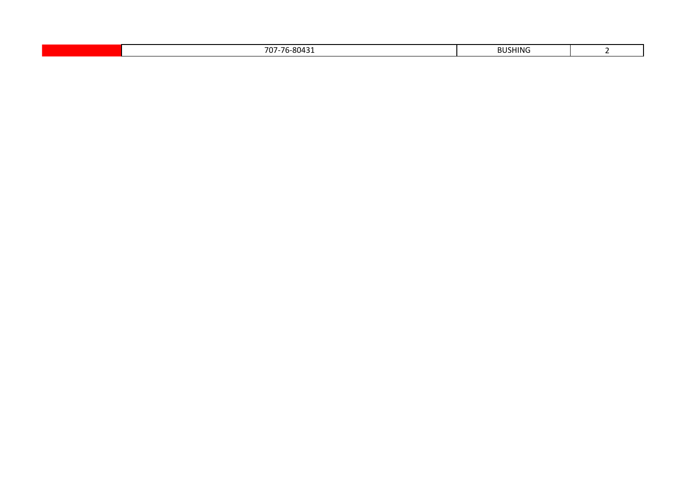|  |  | 0012<br>707<br>,,,<br>, , ,<br>. | <b>BUSHING</b> |  |
|--|--|----------------------------------|----------------|--|
|--|--|----------------------------------|----------------|--|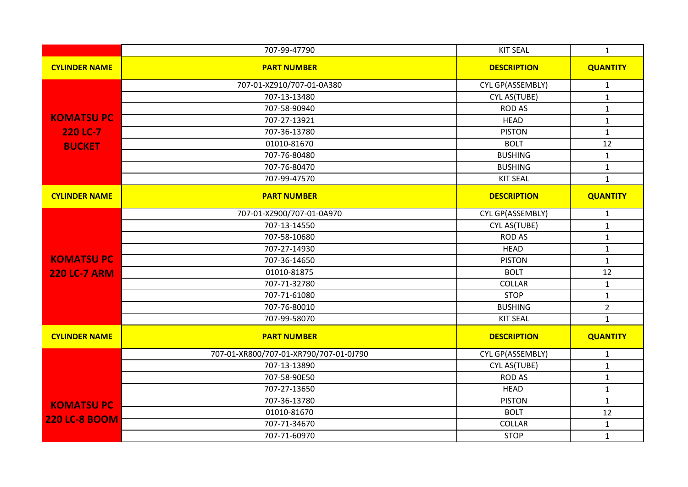|                      | 707-99-47790                           | <b>KIT SEAL</b>    | $\mathbf{1}$    |
|----------------------|----------------------------------------|--------------------|-----------------|
| <b>CYLINDER NAME</b> | <b>PART NUMBER</b>                     | <b>DESCRIPTION</b> | <b>QUANTITY</b> |
|                      | 707-01-XZ910/707-01-0A380              | CYL GP(ASSEMBLY)   | $\mathbf{1}$    |
|                      | 707-13-13480                           | CYL AS(TUBE)       | $\mathbf{1}$    |
|                      | 707-58-90940                           | <b>ROD AS</b>      | $\mathbf{1}$    |
| <b>KOMATSUPC</b>     | 707-27-13921                           | <b>HEAD</b>        | $\mathbf{1}$    |
| 220 LC-7             | 707-36-13780                           | <b>PISTON</b>      | $\mathbf{1}$    |
| <b>BUCKET</b>        | 01010-81670                            | <b>BOLT</b>        | 12              |
|                      | 707-76-80480                           | <b>BUSHING</b>     | $\mathbf{1}$    |
|                      | 707-76-80470                           | <b>BUSHING</b>     | $\mathbf{1}$    |
|                      | 707-99-47570                           | <b>KIT SEAL</b>    | $\mathbf{1}$    |
| <b>CYLINDER NAME</b> | <b>PART NUMBER</b>                     | <b>DESCRIPTION</b> | <b>QUANTITY</b> |
|                      | 707-01-XZ900/707-01-0A970              | CYL GP(ASSEMBLY)   | $\mathbf{1}$    |
|                      | 707-13-14550                           | CYL AS(TUBE)       | $\mathbf{1}$    |
|                      | 707-58-10680                           | <b>ROD AS</b>      | $\mathbf{1}$    |
|                      | 707-27-14930                           | <b>HEAD</b>        | $\mathbf{1}$    |
| <b>KOMATSUPC</b>     | 707-36-14650                           | <b>PISTON</b>      | $\mathbf{1}$    |
| <b>220 LC-7 ARM</b>  | 01010-81875                            | <b>BOLT</b>        | 12              |
|                      | 707-71-32780                           | COLLAR             | $\mathbf{1}$    |
|                      | 707-71-61080                           | <b>STOP</b>        | $\mathbf{1}$    |
|                      | 707-76-80010                           | <b>BUSHING</b>     | $\overline{2}$  |
|                      | 707-99-58070                           | <b>KIT SEAL</b>    | $\mathbf{1}$    |
| <b>CYLINDER NAME</b> | <b>PART NUMBER</b>                     | <b>DESCRIPTION</b> | <b>QUANTITY</b> |
|                      | 707-01-XR800/707-01-XR790/707-01-0J790 | CYL GP(ASSEMBLY)   | $\mathbf{1}$    |
|                      | 707-13-13890                           | CYL AS(TUBE)       | $\mathbf{1}$    |
|                      | 707-58-90E50                           | <b>ROD AS</b>      | $\mathbf{1}$    |
|                      | 707-27-13650                           | <b>HEAD</b>        | $\mathbf{1}$    |
| <b>KOMATSUPC</b>     | 707-36-13780                           | <b>PISTON</b>      | $\mathbf{1}$    |
|                      | 01010-81670                            | <b>BOLT</b>        | 12              |
| <b>220 LC-8 BOOM</b> | 707-71-34670                           | COLLAR             | $\mathbf 1$     |
|                      | 707-71-60970                           | <b>STOP</b>        | $\mathbf{1}$    |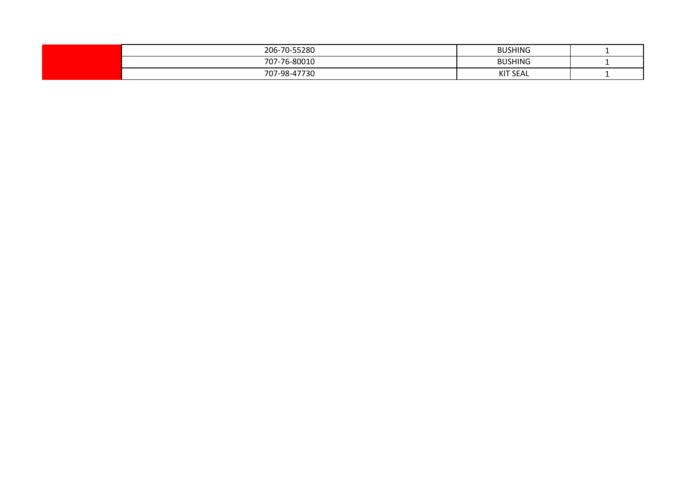| 206-70-55280         | <b>BUSHING</b>  |  |
|----------------------|-----------------|--|
| 707-76-80010         | <b>BUSHING</b>  |  |
| $707-98-4/$<br>27720 | <b>KIT SEAL</b> |  |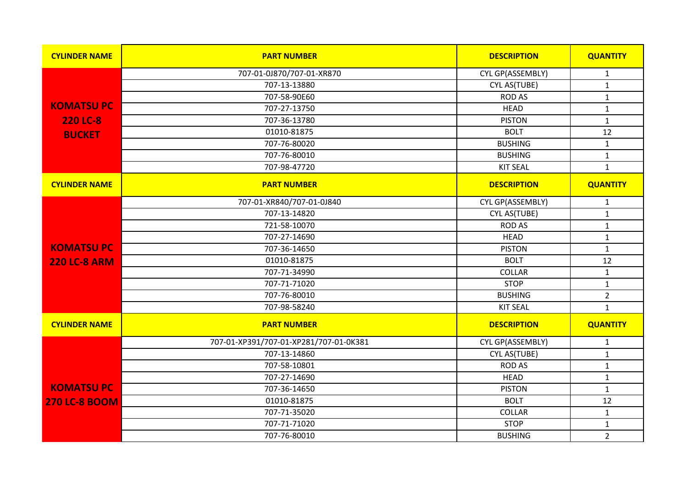| <b>CYLINDER NAME</b> | <b>PART NUMBER</b>                     | <b>DESCRIPTION</b> | <b>QUANTITY</b> |
|----------------------|----------------------------------------|--------------------|-----------------|
|                      | 707-01-0J870/707-01-XR870              | CYL GP(ASSEMBLY)   | $\mathbf{1}$    |
|                      | 707-13-13880                           | CYL AS(TUBE)       | $\mathbf{1}$    |
|                      | 707-58-90E60                           | <b>ROD AS</b>      | $\mathbf{1}$    |
| <b>KOMATSUPC</b>     | 707-27-13750                           | <b>HEAD</b>        | $\mathbf 1$     |
| 220 LC-8             | 707-36-13780                           | <b>PISTON</b>      | $\mathbf{1}$    |
| <b>BUCKET</b>        | 01010-81875                            | <b>BOLT</b>        | 12              |
|                      | 707-76-80020                           | <b>BUSHING</b>     | $\mathbf{1}$    |
|                      | 707-76-80010                           | <b>BUSHING</b>     | $\mathbf{1}$    |
|                      | 707-98-47720                           | <b>KIT SEAL</b>    | $\mathbf{1}$    |
| <b>CYLINDER NAME</b> | <b>PART NUMBER</b>                     | <b>DESCRIPTION</b> | <b>QUANTITY</b> |
|                      | 707-01-XR840/707-01-0J840              | CYL GP(ASSEMBLY)   | $\mathbf{1}$    |
|                      | 707-13-14820                           | CYL AS(TUBE)       | $\mathbf{1}$    |
|                      | 721-58-10070                           | <b>ROD AS</b>      | $\mathbf{1}$    |
|                      | 707-27-14690                           | <b>HEAD</b>        | $\mathbf 1$     |
| <b>KOMATSUPC</b>     | 707-36-14650                           | <b>PISTON</b>      | $\mathbf{1}$    |
| <b>220 LC-8 ARM</b>  | 01010-81875                            | <b>BOLT</b>        | 12              |
|                      | 707-71-34990                           | COLLAR             | $\mathbf{1}$    |
|                      | 707-71-71020                           | <b>STOP</b>        | $\mathbf 1$     |
|                      | 707-76-80010                           | <b>BUSHING</b>     | $\overline{2}$  |
|                      | 707-98-58240                           | <b>KIT SEAL</b>    | $\mathbf{1}$    |
| <b>CYLINDER NAME</b> | <b>PART NUMBER</b>                     | <b>DESCRIPTION</b> | <b>QUANTITY</b> |
|                      | 707-01-XP391/707-01-XP281/707-01-0K381 | CYL GP(ASSEMBLY)   | $\mathbf 1$     |
|                      | 707-13-14860                           | CYL AS(TUBE)       | $\mathbf 1$     |
|                      | 707-58-10801                           | <b>ROD AS</b>      | $\mathbf 1$     |
|                      | 707-27-14690                           | <b>HEAD</b>        | $\mathbf{1}$    |
| <b>KOMATSUPC</b>     | 707-36-14650                           | <b>PISTON</b>      | $\mathbf{1}$    |
| <b>270 LC-8 BOOM</b> | 01010-81875                            | <b>BOLT</b>        | 12              |
|                      | 707-71-35020                           | COLLAR             | $\mathbf{1}$    |
|                      | 707-71-71020                           | <b>STOP</b>        | $\mathbf 1$     |
|                      | 707-76-80010                           | <b>BUSHING</b>     | $\overline{2}$  |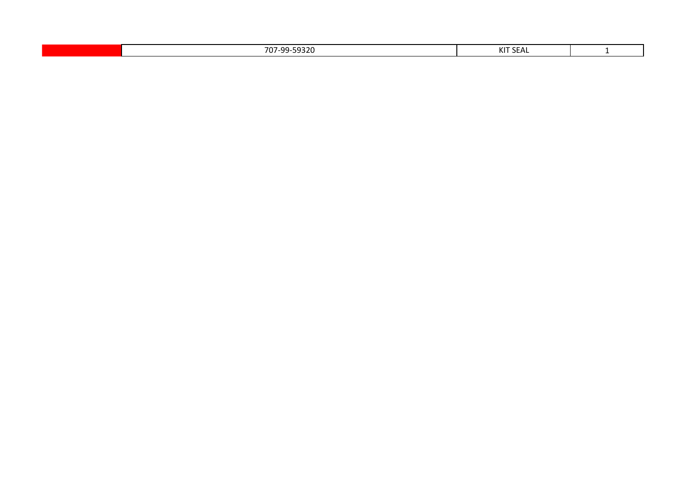| 5022<br>$\overline{\phantom{a}}$<br>ററ<br>$\sim$<br>v<br><i>JJLV</i><br>---- | 1/177.078<br>╰<br>$\sim$ $\sim$<br>シレハレ |  |
|------------------------------------------------------------------------------|-----------------------------------------|--|
|                                                                              |                                         |  |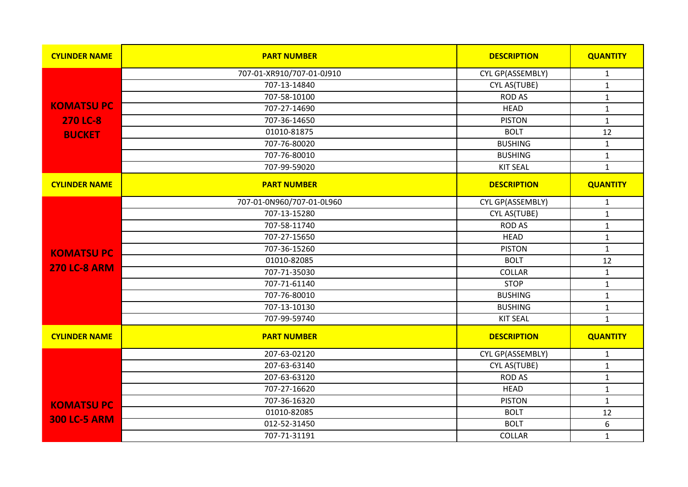| <b>CYLINDER NAME</b> | <b>PART NUMBER</b>        | <b>DESCRIPTION</b> | <b>QUANTITY</b>  |
|----------------------|---------------------------|--------------------|------------------|
|                      | 707-01-XR910/707-01-0J910 | CYL GP(ASSEMBLY)   | $\mathbf{1}$     |
|                      | 707-13-14840              | CYL AS(TUBE)       | $\mathbf{1}$     |
|                      | 707-58-10100              | <b>ROD AS</b>      | $\mathbf{1}$     |
| <b>KOMATSUPC</b>     | 707-27-14690              | <b>HEAD</b>        | $\mathbf 1$      |
| <b>270 LC-8</b>      | 707-36-14650              | <b>PISTON</b>      | $\mathbf{1}$     |
| <b>BUCKET</b>        | 01010-81875               | <b>BOLT</b>        | 12               |
|                      | 707-76-80020              | <b>BUSHING</b>     | $\mathbf 1$      |
|                      | 707-76-80010              | <b>BUSHING</b>     | $\mathbf{1}$     |
|                      | 707-99-59020              | <b>KIT SEAL</b>    | $\mathbf{1}$     |
| <b>CYLINDER NAME</b> | <b>PART NUMBER</b>        | <b>DESCRIPTION</b> | <b>QUANTITY</b>  |
|                      | 707-01-0N960/707-01-0L960 | CYL GP(ASSEMBLY)   | $\mathbf{1}$     |
|                      | 707-13-15280              | CYL AS(TUBE)       | $\mathbf 1$      |
|                      | 707-58-11740              | <b>ROD AS</b>      | $\mathbf{1}$     |
|                      | 707-27-15650              | <b>HEAD</b>        | $\mathbf 1$      |
| <b>KOMATSU PC</b>    | 707-36-15260              | <b>PISTON</b>      | $\mathbf{1}$     |
|                      | 01010-82085               | <b>BOLT</b>        | 12               |
| <b>270 LC-8 ARM</b>  | 707-71-35030              | COLLAR             | $\mathbf{1}$     |
|                      | 707-71-61140              | <b>STOP</b>        | $\mathbf{1}$     |
|                      | 707-76-80010              | <b>BUSHING</b>     | $\mathbf 1$      |
|                      | 707-13-10130              | <b>BUSHING</b>     | $\mathbf{1}$     |
|                      | 707-99-59740              | <b>KIT SEAL</b>    | $\mathbf{1}$     |
| <b>CYLINDER NAME</b> | <b>PART NUMBER</b>        | <b>DESCRIPTION</b> | <b>QUANTITY</b>  |
|                      | 207-63-02120              | CYL GP(ASSEMBLY)   | $\mathbf{1}$     |
|                      | 207-63-63140              | CYL AS(TUBE)       | $\mathbf{1}$     |
|                      | 207-63-63120              | <b>ROD AS</b>      | $\mathbf{1}$     |
|                      | 707-27-16620              | <b>HEAD</b>        | $\mathbf{1}$     |
| <b>KOMATSUPC</b>     | 707-36-16320              | <b>PISTON</b>      | $\mathbf 1$      |
|                      | 01010-82085               | <b>BOLT</b>        | 12               |
| <b>300 LC-5 ARM</b>  | 012-52-31450              | <b>BOLT</b>        | $\boldsymbol{6}$ |
|                      | 707-71-31191              | <b>COLLAR</b>      | $\mathbf{1}$     |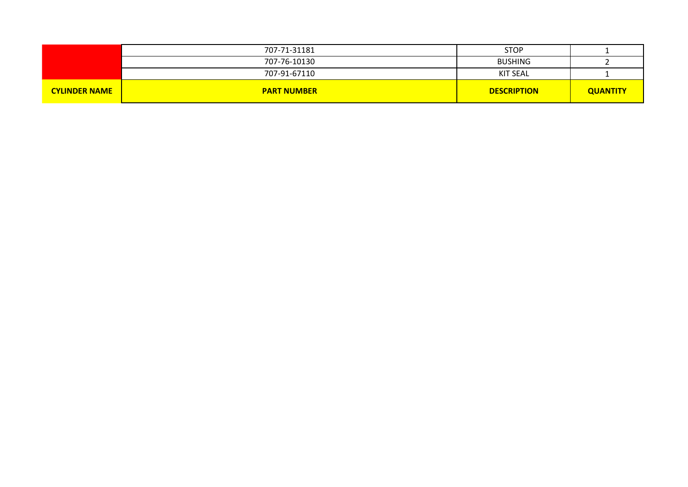|                      | 707-71-31181       | <b>STOP</b>        |                 |
|----------------------|--------------------|--------------------|-----------------|
|                      | 707-76-10130       | <b>BUSHING</b>     |                 |
|                      | 707-91-67110       | <b>KIT SEAL</b>    |                 |
| <b>CYLINDER NAME</b> | <b>PART NUMBER</b> | <b>DESCRIPTION</b> | <b>QUANTITY</b> |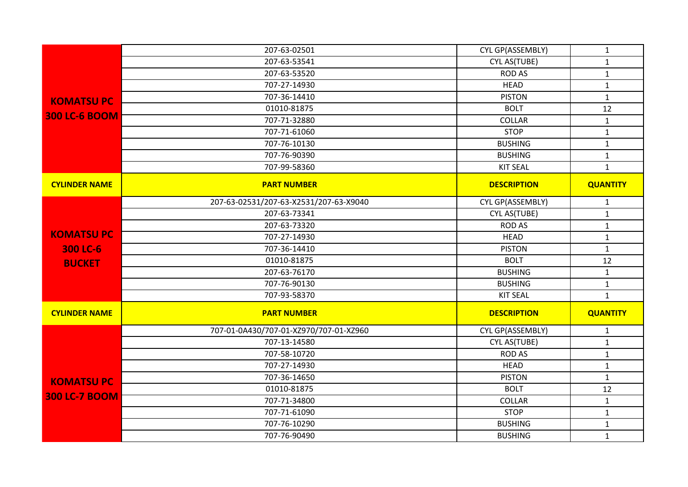|                      | 207-63-02501                           | CYL GP(ASSEMBLY)   | $\mathbf{1}$    |
|----------------------|----------------------------------------|--------------------|-----------------|
|                      | 207-63-53541                           | CYL AS(TUBE)       | $\mathbf{1}$    |
|                      | 207-63-53520                           | <b>ROD AS</b>      | $\mathbf{1}$    |
|                      | 707-27-14930                           | <b>HEAD</b>        | $\mathbf{1}$    |
| <b>KOMATSUPC</b>     | 707-36-14410                           | <b>PISTON</b>      | $\mathbf 1$     |
|                      | 01010-81875                            | <b>BOLT</b>        | 12              |
| <b>300 LC-6 BOOM</b> | 707-71-32880                           | <b>COLLAR</b>      | $\mathbf{1}$    |
|                      | 707-71-61060                           | <b>STOP</b>        | $\mathbf{1}$    |
|                      | 707-76-10130                           | <b>BUSHING</b>     | $\mathbf{1}$    |
|                      | 707-76-90390                           | <b>BUSHING</b>     | $\mathbf{1}$    |
|                      | 707-99-58360                           | <b>KIT SEAL</b>    | $\mathbf{1}$    |
| <b>CYLINDER NAME</b> | <b>PART NUMBER</b>                     | <b>DESCRIPTION</b> | <b>QUANTITY</b> |
|                      | 207-63-02531/207-63-X2531/207-63-X9040 | CYL GP(ASSEMBLY)   | $\mathbf{1}$    |
|                      | 207-63-73341                           | CYL AS(TUBE)       | $\mathbf{1}$    |
|                      | 207-63-73320                           | <b>ROD AS</b>      | $\mathbf{1}$    |
| <b>KOMATSUPC</b>     | 707-27-14930                           | <b>HEAD</b>        | $\mathbf{1}$    |
| 300 LC-6             | 707-36-14410                           | <b>PISTON</b>      | $\mathbf{1}$    |
| <b>BUCKET</b>        | 01010-81875                            | <b>BOLT</b>        | 12              |
|                      | 207-63-76170                           | <b>BUSHING</b>     | $\mathbf{1}$    |
|                      | 707-76-90130                           | <b>BUSHING</b>     | $\mathbf 1$     |
|                      | 707-93-58370                           | <b>KIT SEAL</b>    | $\mathbf{1}$    |
| <b>CYLINDER NAME</b> | <b>PART NUMBER</b>                     | <b>DESCRIPTION</b> | <b>QUANTITY</b> |
|                      | 707-01-0A430/707-01-XZ970/707-01-XZ960 | CYL GP(ASSEMBLY)   | $\mathbf{1}$    |
|                      | 707-13-14580                           | CYL AS(TUBE)       | $\mathbf 1$     |
|                      | 707-58-10720                           | <b>ROD AS</b>      | $\mathbf 1$     |
|                      | 707-27-14930                           | <b>HEAD</b>        | $\mathbf{1}$    |
| <b>KOMATSUPC</b>     | 707-36-14650                           | <b>PISTON</b>      | $\mathbf{1}$    |
| <b>300 LC-7 BOOM</b> | 01010-81875                            | <b>BOLT</b>        | 12              |
|                      | 707-71-34800                           | <b>COLLAR</b>      | $\mathbf 1$     |
|                      | 707-71-61090                           | <b>STOP</b>        | $\mathbf 1$     |
|                      | 707-76-10290                           | <b>BUSHING</b>     | $\mathbf{1}$    |
|                      | 707-76-90490                           | <b>BUSHING</b>     | $\mathbf{1}$    |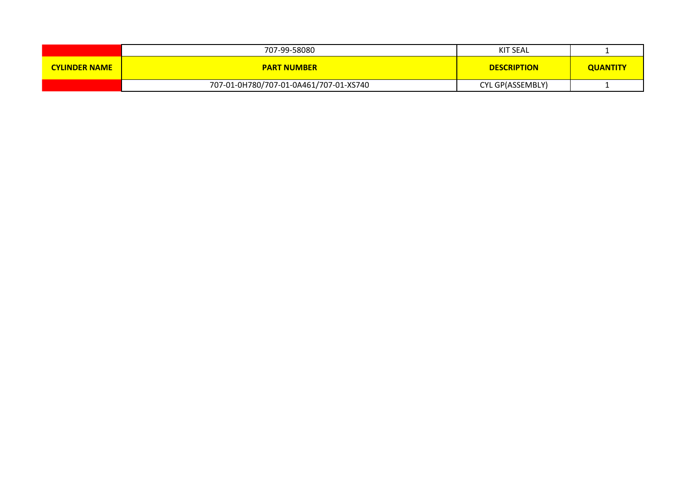|                      | 707-99-58080                           | KIT SEAL           |                 |
|----------------------|----------------------------------------|--------------------|-----------------|
| <b>CYLINDER NAME</b> | <b>PART NUMBER</b>                     | <b>DESCRIPTION</b> | <b>QUANTITY</b> |
|                      | 707-01-0H780/707-01-0A461/707-01-XS740 | CYL GP(ASSEMBLY)   |                 |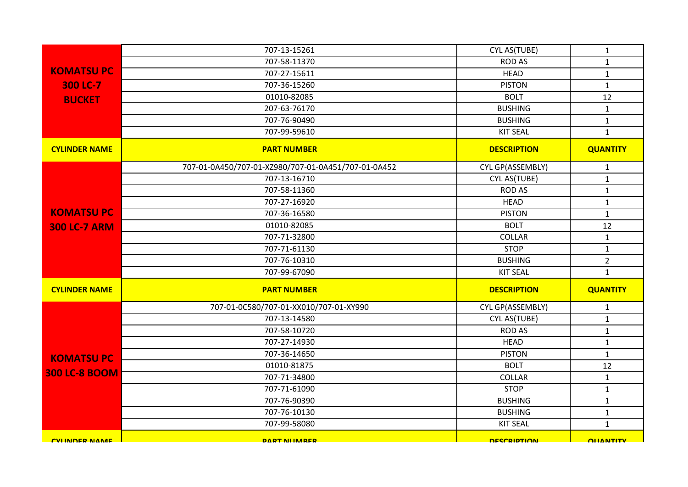|                        | 707-13-15261                                        | CYL AS(TUBE)       | $\mathbf{1}$     |
|------------------------|-----------------------------------------------------|--------------------|------------------|
|                        | 707-58-11370                                        | <b>ROD AS</b>      | $\mathbf{1}$     |
| <b>KOMATSUPC</b>       | 707-27-15611                                        | <b>HEAD</b>        | $\mathbf{1}$     |
| 300 LC-7               | 707-36-15260                                        | <b>PISTON</b>      | $\mathbf{1}$     |
| <b>BUCKET</b>          | 01010-82085                                         | <b>BOLT</b>        | 12               |
|                        | 207-63-76170                                        | <b>BUSHING</b>     | $\mathbf{1}$     |
|                        | 707-76-90490                                        | <b>BUSHING</b>     | $\mathbf{1}$     |
|                        | 707-99-59610                                        | <b>KIT SEAL</b>    | $\mathbf{1}$     |
| <b>CYLINDER NAME</b>   | <b>PART NUMBER</b>                                  | <b>DESCRIPTION</b> | <b>QUANTITY</b>  |
|                        | 707-01-0A450/707-01-XZ980/707-01-0A451/707-01-0A452 | CYL GP(ASSEMBLY)   | $\mathbf{1}$     |
|                        | 707-13-16710                                        | CYL AS(TUBE)       | $\mathbf 1$      |
|                        | 707-58-11360                                        | <b>ROD AS</b>      | $\mathbf 1$      |
|                        | 707-27-16920                                        | <b>HEAD</b>        | $\mathbf{1}$     |
| <b>KOMATSUPC</b>       | 707-36-16580                                        | <b>PISTON</b>      | $\mathbf{1}$     |
| <b>300 LC-7 ARM</b>    | 01010-82085                                         | <b>BOLT</b>        | 12               |
|                        | 707-71-32800                                        | <b>COLLAR</b>      | $\mathbf{1}$     |
|                        | 707-71-61130                                        | <b>STOP</b>        | $\mathbf{1}$     |
|                        | 707-76-10310                                        | <b>BUSHING</b>     | $\overline{2}$   |
|                        | 707-99-67090                                        | <b>KIT SEAL</b>    | $\mathbf{1}$     |
| <b>CYLINDER NAME</b>   | <b>PART NUMBER</b>                                  | <b>DESCRIPTION</b> | <b>QUANTITY</b>  |
|                        | 707-01-0C580/707-01-XX010/707-01-XY990              | CYL GP(ASSEMBLY)   | $\mathbf{1}$     |
|                        | 707-13-14580                                        | CYL AS(TUBE)       | $\mathbf{1}$     |
|                        | 707-58-10720                                        | <b>ROD AS</b>      | $\mathbf{1}$     |
|                        | 707-27-14930                                        | <b>HEAD</b>        | $\mathbf{1}$     |
| <b>KOMATSUPC</b>       | 707-36-14650                                        | <b>PISTON</b>      | $\mathbf{1}$     |
|                        | 01010-81875                                         | <b>BOLT</b>        | 12               |
| <b>300 LC-8 BOOM</b>   | 707-71-34800                                        | <b>COLLAR</b>      | $\mathbf{1}$     |
|                        | 707-71-61090                                        | <b>STOP</b>        | $\mathbf{1}$     |
|                        | 707-76-90390                                        | <b>BUSHING</b>     | $\mathbf{1}$     |
|                        | 707-76-10130                                        | <b>BUSHING</b>     | $\mathbf{1}$     |
|                        | 707-99-58080                                        | <b>KIT SEAL</b>    | $\mathbf{1}$     |
| <b>CVI INIDER NAME</b> | <b>DART NIIMARER</b>                                | <b>DESCRIPTION</b> | <b>OLIANTITY</b> |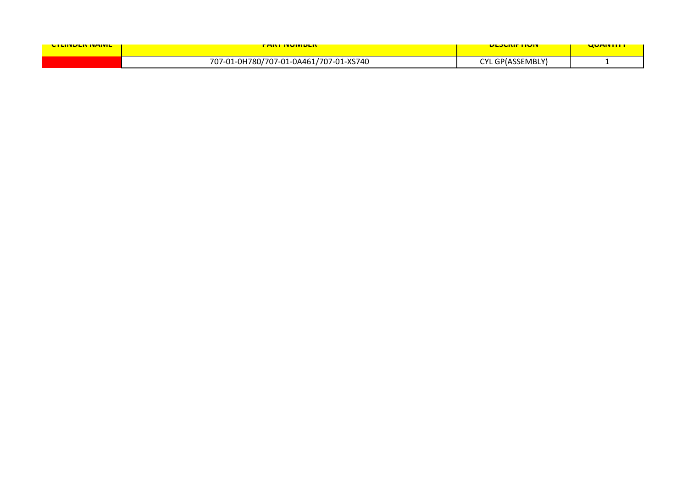| <u>UTLINDEN INAIVILI</u> | <u>FANT IVUIVIDEN </u>                 | <u>ULJUNIF HUIV</u> | <u>UUMIIIII</u> |
|--------------------------|----------------------------------------|---------------------|-----------------|
|                          | 707-01-0H780/707-01-0A461/707-01-XS740 | CYL GP(ASSEMBLY'    |                 |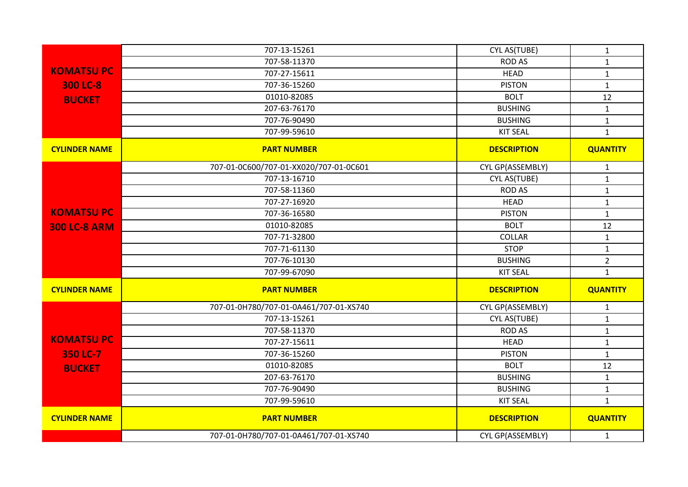|                      | 707-13-15261                           | CYL AS(TUBE)       | $\mathbf{1}$    |
|----------------------|----------------------------------------|--------------------|-----------------|
|                      | 707-58-11370                           | <b>ROD AS</b>      | $\mathbf{1}$    |
| <b>KOMATSUPC</b>     | 707-27-15611                           | <b>HEAD</b>        | $\mathbf{1}$    |
| 300 LC-8             | 707-36-15260                           | <b>PISTON</b>      | $\mathbf{1}$    |
| <b>BUCKET</b>        | 01010-82085                            | <b>BOLT</b>        | 12              |
|                      | 207-63-76170                           | <b>BUSHING</b>     | $\mathbf{1}$    |
|                      | 707-76-90490                           | <b>BUSHING</b>     | $\mathbf{1}$    |
|                      | 707-99-59610                           | <b>KIT SEAL</b>    | $\mathbf{1}$    |
| <b>CYLINDER NAME</b> | <b>PART NUMBER</b>                     | <b>DESCRIPTION</b> | <b>QUANTITY</b> |
|                      | 707-01-0C600/707-01-XX020/707-01-0C601 | CYL GP(ASSEMBLY)   | $\mathbf{1}$    |
|                      | 707-13-16710                           | CYL AS(TUBE)       | $\mathbf{1}$    |
|                      | 707-58-11360                           | <b>ROD AS</b>      | $\mathbf{1}$    |
|                      | 707-27-16920                           | <b>HEAD</b>        | $\mathbf{1}$    |
| <b>KOMATSUPC</b>     | 707-36-16580                           | <b>PISTON</b>      | $\mathbf 1$     |
| <b>300 LC-8 ARM</b>  | 01010-82085                            | <b>BOLT</b>        | 12              |
|                      | 707-71-32800                           | COLLAR             | $\mathbf{1}$    |
|                      | 707-71-61130                           | <b>STOP</b>        | $\mathbf{1}$    |
|                      | 707-76-10130                           | <b>BUSHING</b>     | $\overline{2}$  |
|                      | 707-99-67090                           | <b>KIT SEAL</b>    | $\mathbf{1}$    |
| <b>CYLINDER NAME</b> | <b>PART NUMBER</b>                     | <b>DESCRIPTION</b> | <b>QUANTITY</b> |
|                      | 707-01-0H780/707-01-0A461/707-01-XS740 | CYL GP(ASSEMBLY)   | $\mathbf{1}$    |
|                      | 707-13-15261                           | CYL AS(TUBE)       | $\mathbf{1}$    |
|                      | 707-58-11370                           | <b>ROD AS</b>      | $\mathbf{1}$    |
| <b>KOMATSUPC</b>     | 707-27-15611                           | <b>HEAD</b>        | $\mathbf{1}$    |
| 350 LC-7             | 707-36-15260                           | <b>PISTON</b>      | $\mathbf{1}$    |
| <b>BUCKET</b>        | 01010-82085                            | <b>BOLT</b>        | 12              |
|                      | 207-63-76170                           | <b>BUSHING</b>     | $\mathbf{1}$    |
|                      | 707-76-90490                           | <b>BUSHING</b>     | $\mathbf{1}$    |
|                      | 707-99-59610                           | <b>KIT SEAL</b>    | $\mathbf{1}$    |
| <b>CYLINDER NAME</b> | <b>PART NUMBER</b>                     | <b>DESCRIPTION</b> | <b>QUANTITY</b> |
|                      | 707-01-0H780/707-01-0A461/707-01-XS740 | CYL GP(ASSEMBLY)   | $\mathbf{1}$    |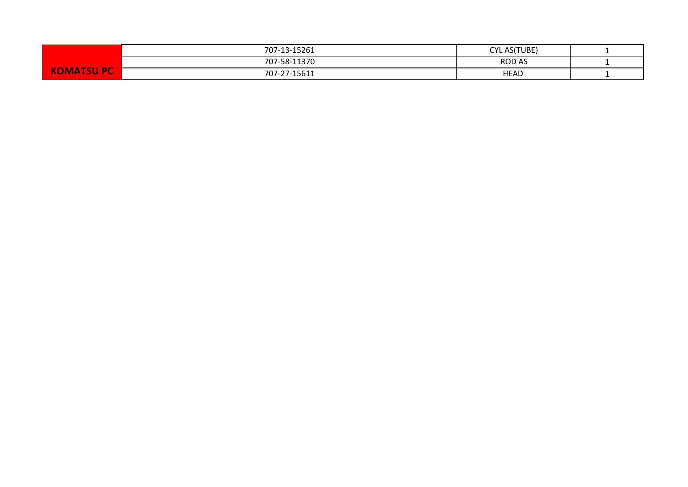|                     | 707-13-15261 | <b>CYL AS(TUBE)</b> |  |
|---------------------|--------------|---------------------|--|
|                     | 707-58-11370 | <b>ROD AS</b>       |  |
| <b>ASUP</b><br>IMA. | 707-27-15611 | <b>HEAD</b>         |  |
|                     |              |                     |  |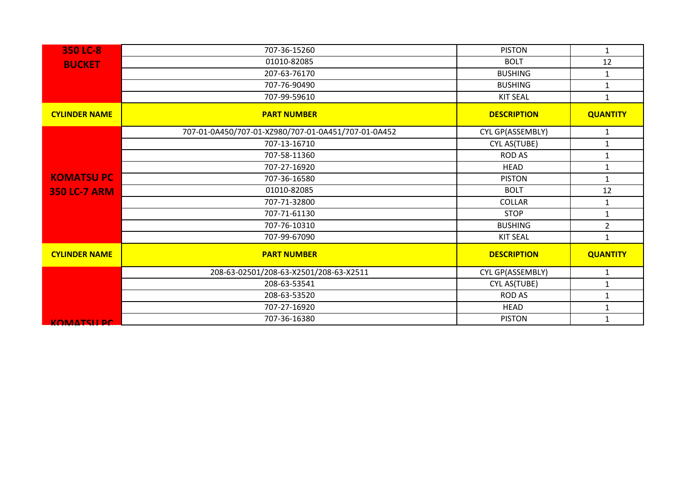| 350 LC-8             | 707-36-15260                                        | <b>PISTON</b>      | $\mathbf{1}$    |
|----------------------|-----------------------------------------------------|--------------------|-----------------|
| <b>BUCKET</b>        | 01010-82085                                         | <b>BOLT</b>        | 12              |
|                      | 207-63-76170                                        | <b>BUSHING</b>     | $\mathbf{1}$    |
|                      | 707-76-90490                                        | <b>BUSHING</b>     | $\mathbf{1}$    |
|                      | 707-99-59610                                        | <b>KIT SEAL</b>    | $\mathbf{1}$    |
| <b>CYLINDER NAME</b> | <b>PART NUMBER</b>                                  | <b>DESCRIPTION</b> | <b>QUANTITY</b> |
|                      | 707-01-0A450/707-01-XZ980/707-01-0A451/707-01-0A452 | CYL GP(ASSEMBLY)   | $\mathbf{1}$    |
|                      | 707-13-16710                                        | CYL AS(TUBE)       | $\mathbf{1}$    |
|                      | 707-58-11360                                        | ROD AS             | 1               |
|                      | 707-27-16920                                        | <b>HEAD</b>        | $\mathbf{1}$    |
| <b>KOMATSU PC</b>    | 707-36-16580                                        | <b>PISTON</b>      | $\mathbf{1}$    |
| <b>350 LC-7 ARM</b>  | 01010-82085                                         | <b>BOLT</b>        | 12              |
|                      | 707-71-32800                                        | <b>COLLAR</b>      | $\mathbf{1}$    |
|                      | 707-71-61130                                        | <b>STOP</b>        | $\mathbf{1}$    |
|                      | 707-76-10310                                        | <b>BUSHING</b>     | $\overline{2}$  |
|                      | 707-99-67090                                        | <b>KIT SEAL</b>    | $\mathbf{1}$    |
| <b>CYLINDER NAME</b> | <b>PART NUMBER</b>                                  | <b>DESCRIPTION</b> | <b>QUANTITY</b> |
|                      | 208-63-02501/208-63-X2501/208-63-X2511              | CYL GP(ASSEMBLY)   | $\mathbf{1}$    |
|                      | 208-63-53541                                        | CYL AS(TUBE)       | $\mathbf{1}$    |
|                      | 208-63-53520                                        | <b>ROD AS</b>      | $\mathbf 1$     |
|                      | 707-27-16920                                        | <b>HEAD</b>        | 1               |
| <b>KOMATSU PC</b>    | 707-36-16380                                        | <b>PISTON</b>      | 1               |
|                      |                                                     |                    |                 |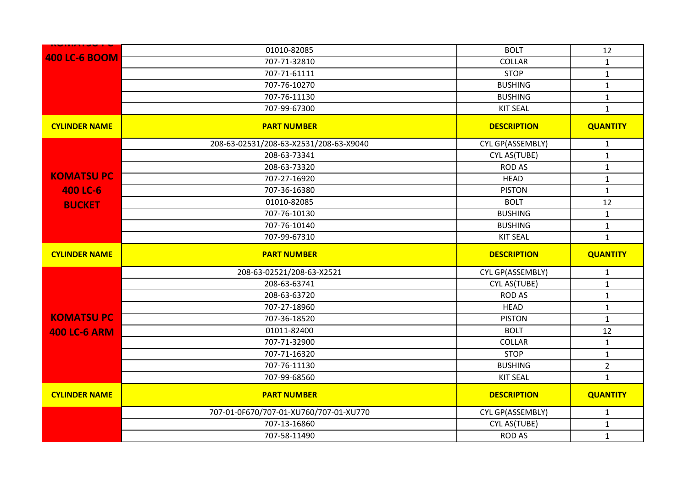| <b>400 LC-6 BOOM</b> | 01010-82085                            | <b>BOLT</b>        | 12              |
|----------------------|----------------------------------------|--------------------|-----------------|
|                      | 707-71-32810                           | <b>COLLAR</b>      | $\mathbf{1}$    |
|                      | 707-71-61111                           | <b>STOP</b>        | $\mathbf{1}$    |
|                      | 707-76-10270                           | <b>BUSHING</b>     | $\mathbf 1$     |
|                      | 707-76-11130                           | <b>BUSHING</b>     | $\mathbf{1}$    |
|                      | 707-99-67300                           | <b>KIT SEAL</b>    | $\mathbf{1}$    |
| <b>CYLINDER NAME</b> | <b>PART NUMBER</b>                     | <b>DESCRIPTION</b> | <b>QUANTITY</b> |
|                      | 208-63-02531/208-63-X2531/208-63-X9040 | CYL GP(ASSEMBLY)   | $\mathbf{1}$    |
|                      | 208-63-73341                           | CYL AS(TUBE)       | $\mathbf{1}$    |
|                      | 208-63-73320                           | <b>ROD AS</b>      | $\mathbf{1}$    |
| <b>KOMATSUPC</b>     | 707-27-16920                           | <b>HEAD</b>        | $\mathbf 1$     |
| 400 LC-6             | 707-36-16380                           | <b>PISTON</b>      | $\mathbf{1}$    |
| <b>BUCKET</b>        | 01010-82085                            | <b>BOLT</b>        | 12              |
|                      | 707-76-10130                           | <b>BUSHING</b>     | $\mathbf{1}$    |
|                      | 707-76-10140                           | <b>BUSHING</b>     | $\mathbf{1}$    |
|                      | 707-99-67310                           | <b>KIT SEAL</b>    | $\mathbf{1}$    |
|                      |                                        |                    |                 |
| <b>CYLINDER NAME</b> | <b>PART NUMBER</b>                     | <b>DESCRIPTION</b> | <b>QUANTITY</b> |
|                      | 208-63-02521/208-63-X2521              | CYL GP(ASSEMBLY)   | $\mathbf{1}$    |
|                      | 208-63-63741                           | CYL AS(TUBE)       | $\mathbf{1}$    |
|                      | 208-63-63720                           | <b>ROD AS</b>      | $\mathbf{1}$    |
|                      | 707-27-18960                           | <b>HEAD</b>        | $\mathbf 1$     |
| <b>KOMATSUPC</b>     | 707-36-18520                           | <b>PISTON</b>      | $\mathbf 1$     |
| <b>400 LC-6 ARM</b>  | 01011-82400                            | <b>BOLT</b>        | 12              |
|                      | 707-71-32900                           | COLLAR             | $\mathbf 1$     |
|                      | 707-71-16320                           | <b>STOP</b>        | $\mathbf 1$     |
|                      | 707-76-11130                           | <b>BUSHING</b>     | $\overline{2}$  |
|                      | 707-99-68560                           | <b>KIT SEAL</b>    | $\mathbf{1}$    |
| <b>CYLINDER NAME</b> | <b>PART NUMBER</b>                     | <b>DESCRIPTION</b> | <b>QUANTITY</b> |
|                      | 707-01-0F670/707-01-XU760/707-01-XU770 | CYL GP(ASSEMBLY)   | $\mathbf 1$     |
|                      | 707-13-16860                           | CYL AS(TUBE)       | $\mathbf{1}$    |
|                      | 707-58-11490                           | <b>ROD AS</b>      | $\mathbf{1}$    |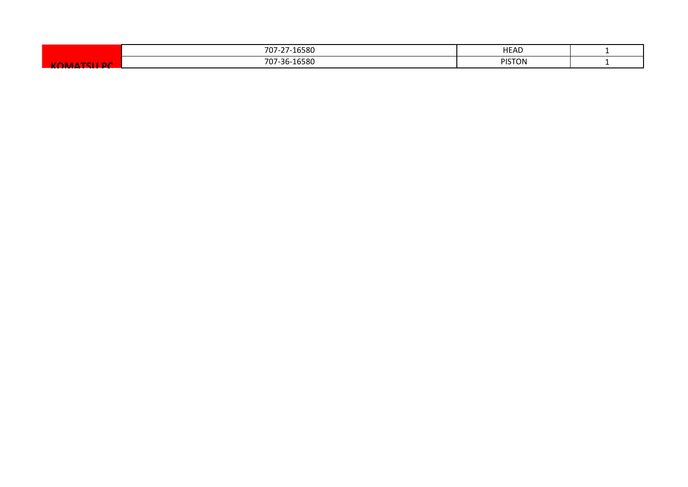|   | -16580<br>$707 -$<br>$\sim$ $-$<br>. . | <b>HEAD</b>             |  |
|---|----------------------------------------|-------------------------|--|
| ĸ | 707-36-16580                           | <b>DICTOR</b><br>'ISTON |  |
|   |                                        |                         |  |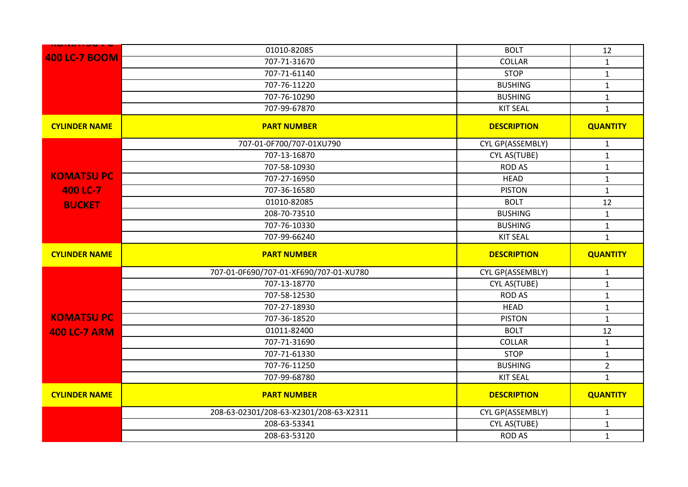| <b>400 LC-7 BOOM</b><br>707-71-31670<br>COLLAR<br>$\mathbf{1}$<br><b>STOP</b><br>707-71-61140<br>$\mathbf{1}$<br><b>BUSHING</b><br>707-76-11220<br>$\mathbf{1}$<br>707-76-10290<br><b>BUSHING</b><br>$\mathbf{1}$<br>707-99-67870<br><b>KIT SEAL</b><br>$\mathbf{1}$<br><b>CYLINDER NAME</b><br><b>PART NUMBER</b><br><b>DESCRIPTION</b><br><b>QUANTITY</b><br>707-01-0F700/707-01XU790<br>CYL GP(ASSEMBLY)<br>$\mathbf{1}$<br>707-13-16870<br>CYL AS(TUBE)<br>$\mathbf{1}$<br><b>ROD AS</b><br>707-58-10930<br>$\mathbf{1}$<br><b>KOMATSU PC</b><br>707-27-16950<br><b>HEAD</b><br>$\mathbf{1}$<br>400 LC-7<br><b>PISTON</b><br>707-36-16580<br>$\mathbf{1}$<br>01010-82085<br><b>BOLT</b><br>12<br><b>BUCKET</b><br><b>BUSHING</b><br>208-70-73510<br>$\mathbf 1$<br>707-76-10330<br><b>BUSHING</b><br>$\mathbf{1}$<br>707-99-66240<br><b>KIT SEAL</b><br>$\mathbf{1}$<br><b>QUANTITY</b><br><b>CYLINDER NAME</b><br><b>PART NUMBER</b><br><b>DESCRIPTION</b><br>707-01-0F690/707-01-XF690/707-01-XU780<br>CYL GP(ASSEMBLY)<br>$\mathbf{1}$ |              |              |              |
|-----------------------------------------------------------------------------------------------------------------------------------------------------------------------------------------------------------------------------------------------------------------------------------------------------------------------------------------------------------------------------------------------------------------------------------------------------------------------------------------------------------------------------------------------------------------------------------------------------------------------------------------------------------------------------------------------------------------------------------------------------------------------------------------------------------------------------------------------------------------------------------------------------------------------------------------------------------------------------------------------------------------------------------------------|--------------|--------------|--------------|
|                                                                                                                                                                                                                                                                                                                                                                                                                                                                                                                                                                                                                                                                                                                                                                                                                                                                                                                                                                                                                                               | 01010-82085  | <b>BOLT</b>  | 12           |
|                                                                                                                                                                                                                                                                                                                                                                                                                                                                                                                                                                                                                                                                                                                                                                                                                                                                                                                                                                                                                                               |              |              |              |
|                                                                                                                                                                                                                                                                                                                                                                                                                                                                                                                                                                                                                                                                                                                                                                                                                                                                                                                                                                                                                                               |              |              |              |
|                                                                                                                                                                                                                                                                                                                                                                                                                                                                                                                                                                                                                                                                                                                                                                                                                                                                                                                                                                                                                                               |              |              |              |
|                                                                                                                                                                                                                                                                                                                                                                                                                                                                                                                                                                                                                                                                                                                                                                                                                                                                                                                                                                                                                                               |              |              |              |
|                                                                                                                                                                                                                                                                                                                                                                                                                                                                                                                                                                                                                                                                                                                                                                                                                                                                                                                                                                                                                                               |              |              |              |
|                                                                                                                                                                                                                                                                                                                                                                                                                                                                                                                                                                                                                                                                                                                                                                                                                                                                                                                                                                                                                                               |              |              |              |
|                                                                                                                                                                                                                                                                                                                                                                                                                                                                                                                                                                                                                                                                                                                                                                                                                                                                                                                                                                                                                                               |              |              |              |
|                                                                                                                                                                                                                                                                                                                                                                                                                                                                                                                                                                                                                                                                                                                                                                                                                                                                                                                                                                                                                                               |              |              |              |
|                                                                                                                                                                                                                                                                                                                                                                                                                                                                                                                                                                                                                                                                                                                                                                                                                                                                                                                                                                                                                                               |              |              |              |
|                                                                                                                                                                                                                                                                                                                                                                                                                                                                                                                                                                                                                                                                                                                                                                                                                                                                                                                                                                                                                                               |              |              |              |
|                                                                                                                                                                                                                                                                                                                                                                                                                                                                                                                                                                                                                                                                                                                                                                                                                                                                                                                                                                                                                                               |              |              |              |
|                                                                                                                                                                                                                                                                                                                                                                                                                                                                                                                                                                                                                                                                                                                                                                                                                                                                                                                                                                                                                                               |              |              |              |
|                                                                                                                                                                                                                                                                                                                                                                                                                                                                                                                                                                                                                                                                                                                                                                                                                                                                                                                                                                                                                                               |              |              |              |
|                                                                                                                                                                                                                                                                                                                                                                                                                                                                                                                                                                                                                                                                                                                                                                                                                                                                                                                                                                                                                                               |              |              |              |
|                                                                                                                                                                                                                                                                                                                                                                                                                                                                                                                                                                                                                                                                                                                                                                                                                                                                                                                                                                                                                                               |              |              |              |
|                                                                                                                                                                                                                                                                                                                                                                                                                                                                                                                                                                                                                                                                                                                                                                                                                                                                                                                                                                                                                                               |              |              |              |
|                                                                                                                                                                                                                                                                                                                                                                                                                                                                                                                                                                                                                                                                                                                                                                                                                                                                                                                                                                                                                                               |              |              |              |
|                                                                                                                                                                                                                                                                                                                                                                                                                                                                                                                                                                                                                                                                                                                                                                                                                                                                                                                                                                                                                                               |              |              |              |
| 707-58-12530<br><b>ROD AS</b><br>$\mathbf{1}$                                                                                                                                                                                                                                                                                                                                                                                                                                                                                                                                                                                                                                                                                                                                                                                                                                                                                                                                                                                                 | 707-13-18770 | CYL AS(TUBE) | $\mathbf{1}$ |
| 707-27-18930<br><b>HEAD</b><br>$\mathbf{1}$                                                                                                                                                                                                                                                                                                                                                                                                                                                                                                                                                                                                                                                                                                                                                                                                                                                                                                                                                                                                   |              |              |              |
| <b>KOMATSUPC</b><br><b>PISTON</b><br>707-36-18520<br>$\mathbf{1}$                                                                                                                                                                                                                                                                                                                                                                                                                                                                                                                                                                                                                                                                                                                                                                                                                                                                                                                                                                             |              |              |              |
| 01011-82400<br><b>BOLT</b><br>12<br><b>400 LC-7 ARM</b>                                                                                                                                                                                                                                                                                                                                                                                                                                                                                                                                                                                                                                                                                                                                                                                                                                                                                                                                                                                       |              |              |              |
| 707-71-31690<br>COLLAR<br>$\mathbf 1$                                                                                                                                                                                                                                                                                                                                                                                                                                                                                                                                                                                                                                                                                                                                                                                                                                                                                                                                                                                                         |              |              |              |
| <b>STOP</b><br>707-71-61330<br>$\mathbf{1}$                                                                                                                                                                                                                                                                                                                                                                                                                                                                                                                                                                                                                                                                                                                                                                                                                                                                                                                                                                                                   |              |              |              |
|                                                                                                                                                                                                                                                                                                                                                                                                                                                                                                                                                                                                                                                                                                                                                                                                                                                                                                                                                                                                                                               |              |              |              |
| $\overline{2}$<br>707-76-11250<br><b>BUSHING</b>                                                                                                                                                                                                                                                                                                                                                                                                                                                                                                                                                                                                                                                                                                                                                                                                                                                                                                                                                                                              |              |              |              |
| 707-99-68780<br><b>KIT SEAL</b><br>$\mathbf{1}$                                                                                                                                                                                                                                                                                                                                                                                                                                                                                                                                                                                                                                                                                                                                                                                                                                                                                                                                                                                               |              |              |              |
| <b>QUANTITY</b><br><b>CYLINDER NAME</b><br><b>PART NUMBER</b><br><b>DESCRIPTION</b>                                                                                                                                                                                                                                                                                                                                                                                                                                                                                                                                                                                                                                                                                                                                                                                                                                                                                                                                                           |              |              |              |
| 208-63-02301/208-63-X2301/208-63-X2311<br>CYL GP(ASSEMBLY)<br>$\mathbf{1}$                                                                                                                                                                                                                                                                                                                                                                                                                                                                                                                                                                                                                                                                                                                                                                                                                                                                                                                                                                    |              |              |              |
| 208-63-53341<br>CYL AS(TUBE)<br>$\mathbf{1}$                                                                                                                                                                                                                                                                                                                                                                                                                                                                                                                                                                                                                                                                                                                                                                                                                                                                                                                                                                                                  |              |              |              |
|                                                                                                                                                                                                                                                                                                                                                                                                                                                                                                                                                                                                                                                                                                                                                                                                                                                                                                                                                                                                                                               |              |              |              |
|                                                                                                                                                                                                                                                                                                                                                                                                                                                                                                                                                                                                                                                                                                                                                                                                                                                                                                                                                                                                                                               |              |              |              |
|                                                                                                                                                                                                                                                                                                                                                                                                                                                                                                                                                                                                                                                                                                                                                                                                                                                                                                                                                                                                                                               |              |              |              |
|                                                                                                                                                                                                                                                                                                                                                                                                                                                                                                                                                                                                                                                                                                                                                                                                                                                                                                                                                                                                                                               |              |              |              |
|                                                                                                                                                                                                                                                                                                                                                                                                                                                                                                                                                                                                                                                                                                                                                                                                                                                                                                                                                                                                                                               |              |              |              |
|                                                                                                                                                                                                                                                                                                                                                                                                                                                                                                                                                                                                                                                                                                                                                                                                                                                                                                                                                                                                                                               |              |              |              |
|                                                                                                                                                                                                                                                                                                                                                                                                                                                                                                                                                                                                                                                                                                                                                                                                                                                                                                                                                                                                                                               |              |              |              |
| 208-63-53120<br><b>ROD AS</b><br>$\mathbf{1}$                                                                                                                                                                                                                                                                                                                                                                                                                                                                                                                                                                                                                                                                                                                                                                                                                                                                                                                                                                                                 |              |              |              |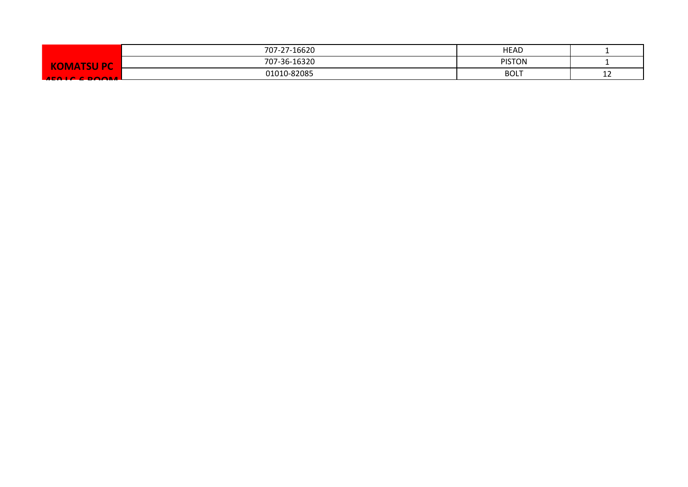|                         | 707-27-16620 | <b>HEAD</b>   |             |
|-------------------------|--------------|---------------|-------------|
| <b>DMATSU PC</b><br>ıкı | 707-36-16320 | <b>PISTON</b> |             |
| $AFA$ is concarri       | 01010-82085  | <b>BOLT</b>   | $\sim$<br>. |
|                         |              |               |             |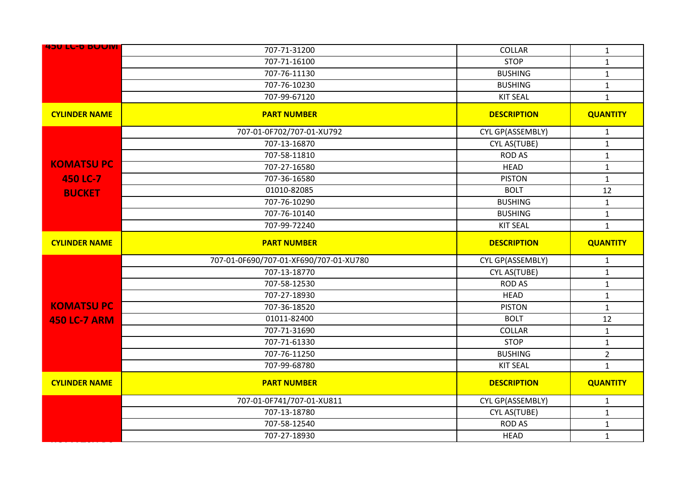| <b>450 LL-D BUUIVI</b> | 707-71-31200                           | COLLAR             | $\mathbf{1}$    |
|------------------------|----------------------------------------|--------------------|-----------------|
|                        | 707-71-16100                           | <b>STOP</b>        | $\mathbf{1}$    |
|                        | 707-76-11130                           | <b>BUSHING</b>     | $\mathbf 1$     |
|                        | 707-76-10230                           | <b>BUSHING</b>     | $\mathbf{1}$    |
|                        | 707-99-67120                           | <b>KIT SEAL</b>    | $\mathbf{1}$    |
| <b>CYLINDER NAME</b>   | <b>PART NUMBER</b>                     | <b>DESCRIPTION</b> | <b>QUANTITY</b> |
|                        | 707-01-0F702/707-01-XU792              | CYL GP(ASSEMBLY)   | $\mathbf{1}$    |
|                        | 707-13-16870                           | CYL AS(TUBE)       | $\mathbf{1}$    |
|                        | 707-58-11810                           | <b>ROD AS</b>      | $\mathbf{1}$    |
| <b>KOMATSU PC</b>      | 707-27-16580                           | <b>HEAD</b>        | $\mathbf{1}$    |
| 450 LC-7               | 707-36-16580                           | <b>PISTON</b>      | $\mathbf{1}$    |
| <b>BUCKET</b>          | 01010-82085                            | <b>BOLT</b>        | 12              |
|                        | 707-76-10290                           | <b>BUSHING</b>     | $\mathbf{1}$    |
|                        | 707-76-10140                           | <b>BUSHING</b>     | $\mathbf{1}$    |
|                        | 707-99-72240                           | <b>KIT SEAL</b>    | $\mathbf{1}$    |
| <b>CYLINDER NAME</b>   | <b>PART NUMBER</b>                     | <b>DESCRIPTION</b> | <b>QUANTITY</b> |
|                        |                                        |                    |                 |
|                        | 707-01-0F690/707-01-XF690/707-01-XU780 | CYL GP(ASSEMBLY)   | $\mathbf{1}$    |
|                        | 707-13-18770                           | CYL AS(TUBE)       | $\mathbf{1}$    |
|                        | 707-58-12530                           | <b>ROD AS</b>      | $\mathbf{1}$    |
|                        | 707-27-18930                           | <b>HEAD</b>        | $\mathbf 1$     |
| <b>KOMATSU PC</b>      | 707-36-18520                           | <b>PISTON</b>      | $\mathbf{1}$    |
| <b>450 LC-7 ARM</b>    | 01011-82400                            | <b>BOLT</b>        | 12              |
|                        | 707-71-31690                           | <b>COLLAR</b>      | $\mathbf{1}$    |
|                        | 707-71-61330                           | <b>STOP</b>        | $\mathbf{1}$    |
|                        | 707-76-11250                           | <b>BUSHING</b>     | $\overline{2}$  |
|                        | 707-99-68780                           | <b>KIT SEAL</b>    | $\mathbf{1}$    |
| <b>CYLINDER NAME</b>   | <b>PART NUMBER</b>                     | <b>DESCRIPTION</b> | <b>QUANTITY</b> |
|                        | 707-01-0F741/707-01-XU811              | CYL GP(ASSEMBLY)   | $\mathbf{1}$    |
|                        | 707-13-18780                           | CYL AS(TUBE)       | $\mathbf{1}$    |
|                        | 707-58-12540                           | <b>ROD AS</b>      | $\mathbf 1$     |
|                        | 707-27-18930                           | <b>HEAD</b>        | $\mathbf{1}$    |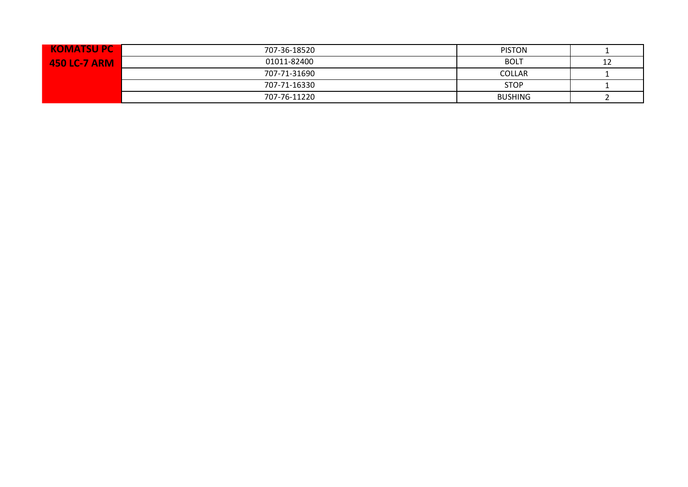| <b>KOMATSUPC</b>    | 707-36-18520 | <b>PISTON</b>  |    |
|---------------------|--------------|----------------|----|
| <b>450 LC-7 ARM</b> | 01011-82400  | <b>BOLT</b>    | 12 |
|                     | 707-71-31690 | <b>COLLAR</b>  |    |
|                     | 707-71-16330 | <b>STOP</b>    |    |
|                     | 707-76-11220 | <b>BUSHING</b> |    |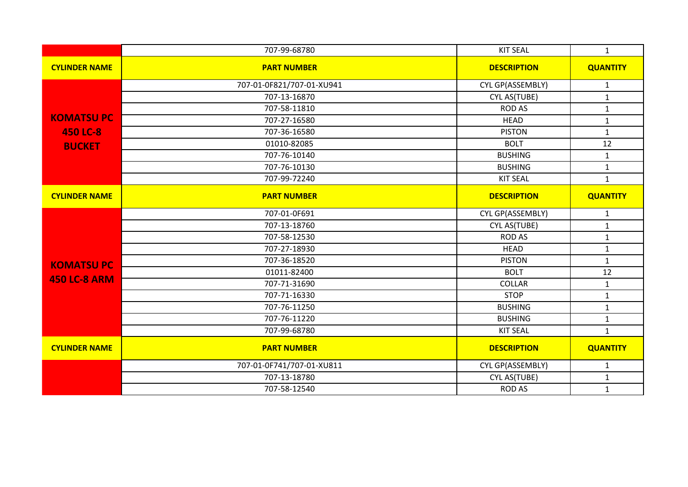|                      | 707-99-68780              | <b>KIT SEAL</b>    | $\mathbf{1}$    |
|----------------------|---------------------------|--------------------|-----------------|
| <b>CYLINDER NAME</b> | <b>PART NUMBER</b>        | <b>DESCRIPTION</b> | <b>QUANTITY</b> |
|                      | 707-01-0F821/707-01-XU941 | CYL GP(ASSEMBLY)   | $\mathbf{1}$    |
|                      | 707-13-16870              | CYL AS(TUBE)       | $\mathbf{1}$    |
|                      | 707-58-11810              | <b>ROD AS</b>      | $\mathbf 1$     |
| <b>KOMATSUPC</b>     | 707-27-16580              | <b>HEAD</b>        | $\mathbf 1$     |
| <b>450 LC-8</b>      | 707-36-16580              | <b>PISTON</b>      | $\mathbf{1}$    |
| <b>BUCKET</b>        | 01010-82085               | <b>BOLT</b>        | 12              |
|                      | 707-76-10140              | <b>BUSHING</b>     | $\mathbf{1}$    |
|                      | 707-76-10130              | <b>BUSHING</b>     | $\mathbf{1}$    |
|                      | 707-99-72240              | <b>KIT SEAL</b>    | $\mathbf{1}$    |
| <b>CYLINDER NAME</b> | <b>PART NUMBER</b>        | <b>DESCRIPTION</b> | <b>QUANTITY</b> |
|                      | 707-01-0F691              | CYL GP(ASSEMBLY)   | $\mathbf{1}$    |
|                      | 707-13-18760              | CYL AS(TUBE)       | $\mathbf{1}$    |
|                      | 707-58-12530              | <b>ROD AS</b>      | $\mathbf{1}$    |
|                      | 707-27-18930              | <b>HEAD</b>        | $\mathbf{1}$    |
| <b>KOMATSU PC</b>    | 707-36-18520              | <b>PISTON</b>      | $\mathbf{1}$    |
|                      | 01011-82400               | <b>BOLT</b>        | 12              |
| <b>450 LC-8 ARM</b>  | 707-71-31690              | <b>COLLAR</b>      | $\mathbf{1}$    |
|                      | 707-71-16330              | <b>STOP</b>        | $\mathbf{1}$    |
|                      | 707-76-11250              | <b>BUSHING</b>     | $\mathbf 1$     |
|                      | 707-76-11220              | <b>BUSHING</b>     | $\mathbf{1}$    |
|                      | 707-99-68780              | <b>KIT SEAL</b>    | $\mathbf{1}$    |
| <b>CYLINDER NAME</b> | <b>PART NUMBER</b>        | <b>DESCRIPTION</b> | <b>QUANTITY</b> |
|                      | 707-01-0F741/707-01-XU811 | CYL GP(ASSEMBLY)   | $\mathbf{1}$    |
|                      | 707-13-18780              | CYL AS(TUBE)       | $\mathbf{1}$    |
|                      | 707-58-12540              | <b>ROD AS</b>      | $\mathbf{1}$    |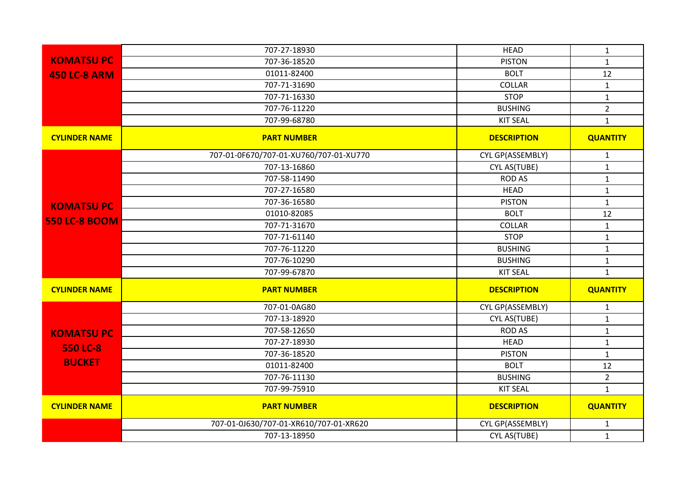|                      | 707-27-18930                           | <b>HEAD</b>        | $\mathbf{1}$    |
|----------------------|----------------------------------------|--------------------|-----------------|
| <b>KOMATSU PC</b>    | 707-36-18520                           | <b>PISTON</b>      | $\mathbf{1}$    |
| <b>450 LC-8 ARM</b>  | 01011-82400                            | <b>BOLT</b>        | 12              |
|                      | 707-71-31690                           | <b>COLLAR</b>      | $\mathbf{1}$    |
|                      | 707-71-16330                           | <b>STOP</b>        | $\mathbf{1}$    |
|                      | 707-76-11220                           | <b>BUSHING</b>     | $\overline{2}$  |
|                      | 707-99-68780                           | <b>KIT SEAL</b>    | $\mathbf{1}$    |
| <b>CYLINDER NAME</b> | <b>PART NUMBER</b>                     | <b>DESCRIPTION</b> | <b>QUANTITY</b> |
|                      | 707-01-0F670/707-01-XU760/707-01-XU770 | CYL GP(ASSEMBLY)   | $\mathbf{1}$    |
|                      | 707-13-16860                           | CYL AS(TUBE)       | $\mathbf{1}$    |
|                      | 707-58-11490                           | <b>ROD AS</b>      | $\mathbf{1}$    |
|                      | 707-27-16580                           | <b>HEAD</b>        | $\mathbf{1}$    |
| <b>KOMATSU PC</b>    | 707-36-16580                           | <b>PISTON</b>      | $\mathbf{1}$    |
|                      | 01010-82085                            | <b>BOLT</b>        | 12              |
| <b>550 LC-8 BOOM</b> | 707-71-31670                           | COLLAR             | $\mathbf{1}$    |
|                      | 707-71-61140                           | <b>STOP</b>        | $\mathbf{1}$    |
|                      | 707-76-11220                           | <b>BUSHING</b>     | $\mathbf{1}$    |
|                      | 707-76-10290                           | <b>BUSHING</b>     | $\mathbf{1}$    |
|                      | 707-99-67870                           | <b>KIT SEAL</b>    | $\mathbf{1}$    |
| <b>CYLINDER NAME</b> | <b>PART NUMBER</b>                     | <b>DESCRIPTION</b> | <b>QUANTITY</b> |
|                      | 707-01-0AG80                           | CYL GP(ASSEMBLY)   | 1               |
|                      | 707-13-18920                           | CYL AS(TUBE)       | $\mathbf{1}$    |
| <b>KOMATSUPC</b>     | 707-58-12650                           | <b>ROD AS</b>      | $\mathbf{1}$    |
| <b>550 LC-8</b>      | 707-27-18930                           | <b>HEAD</b>        | $\mathbf{1}$    |
|                      | 707-36-18520                           | <b>PISTON</b>      | $\mathbf{1}$    |
| <b>BUCKET</b>        | 01011-82400                            | <b>BOLT</b>        | 12              |
|                      | 707-76-11130                           | <b>BUSHING</b>     | $\overline{2}$  |
|                      | 707-99-75910                           | <b>KIT SEAL</b>    | $\mathbf{1}$    |
| <b>CYLINDER NAME</b> | <b>PART NUMBER</b>                     | <b>DESCRIPTION</b> | <b>QUANTITY</b> |
|                      |                                        |                    |                 |
|                      | 707-01-0J630/707-01-XR610/707-01-XR620 | CYL GP(ASSEMBLY)   | 1               |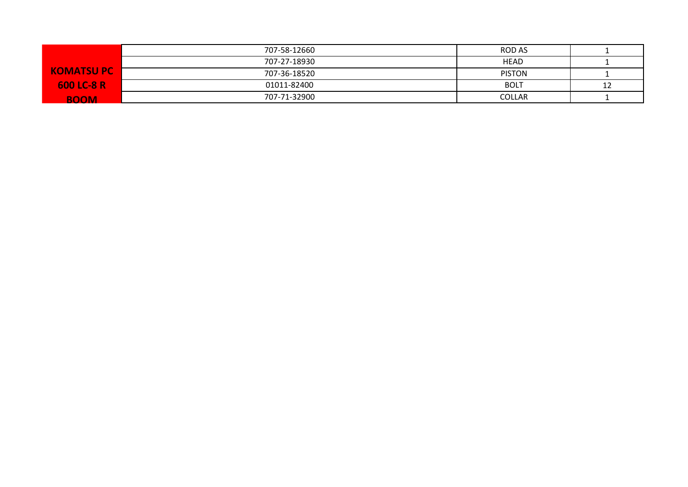|                   | 707-58-12660 | ROD AS        |    |
|-------------------|--------------|---------------|----|
|                   | 707-27-18930 | <b>HEAD</b>   |    |
| <b>KOMATSUPC</b>  | 707-36-18520 | <b>PISTON</b> |    |
| <b>600 LC-8 R</b> | 01011-82400  | <b>BOLT</b>   | 12 |
| <b>BOOM</b>       | 707-71-32900 | <b>COLLAR</b> |    |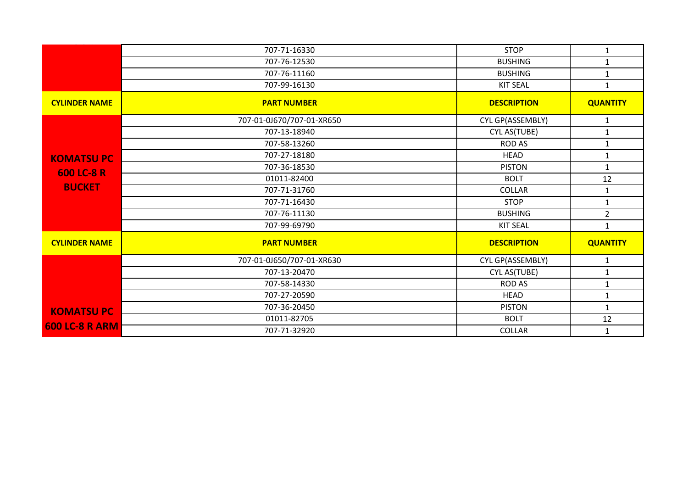|                       | 707-71-16330              | <b>STOP</b>        | $\mathbf{1}$    |
|-----------------------|---------------------------|--------------------|-----------------|
|                       | 707-76-12530              | <b>BUSHING</b>     | $\mathbf{1}$    |
|                       | 707-76-11160              | <b>BUSHING</b>     | $\mathbf{1}$    |
|                       | 707-99-16130              | <b>KIT SEAL</b>    | $\mathbf{1}$    |
| <b>CYLINDER NAME</b>  | <b>PART NUMBER</b>        | <b>DESCRIPTION</b> | <b>QUANTITY</b> |
|                       | 707-01-0J670/707-01-XR650 | CYL GP(ASSEMBLY)   | $\mathbf{1}$    |
|                       | 707-13-18940              | CYL AS(TUBE)       | $\mathbf{1}$    |
|                       | 707-58-13260              | <b>ROD AS</b>      | $\mathbf{1}$    |
| <b>KOMATSUPC</b>      | 707-27-18180              | <b>HEAD</b>        | $\mathbf{1}$    |
| 600 LC-8 R            | 707-36-18530              | <b>PISTON</b>      | $\mathbf{1}$    |
|                       | 01011-82400               | <b>BOLT</b>        | 12              |
| <b>BUCKET</b>         | 707-71-31760              | <b>COLLAR</b>      | $\mathbf{1}$    |
|                       | 707-71-16430              | <b>STOP</b>        | $\mathbf{1}$    |
|                       | 707-76-11130              | <b>BUSHING</b>     | $\overline{2}$  |
|                       | 707-99-69790              | <b>KIT SEAL</b>    | $\mathbf{1}$    |
| <b>CYLINDER NAME</b>  | <b>PART NUMBER</b>        | <b>DESCRIPTION</b> | <b>QUANTITY</b> |
|                       | 707-01-0J650/707-01-XR630 | CYL GP(ASSEMBLY)   | $\mathbf{1}$    |
|                       | 707-13-20470              | CYL AS(TUBE)       | $\mathbf{1}$    |
|                       | 707-58-14330              | <b>ROD AS</b>      | $\mathbf{1}$    |
|                       | 707-27-20590              | <b>HEAD</b>        | $\mathbf{1}$    |
| <b>KOMATSU PC</b>     | 707-36-20450              | <b>PISTON</b>      | $\mathbf{1}$    |
|                       | 01011-82705               | <b>BOLT</b>        | 12              |
| <b>600 LC-8 R ARM</b> | 707-71-32920              | <b>COLLAR</b>      | $\mathbf{1}$    |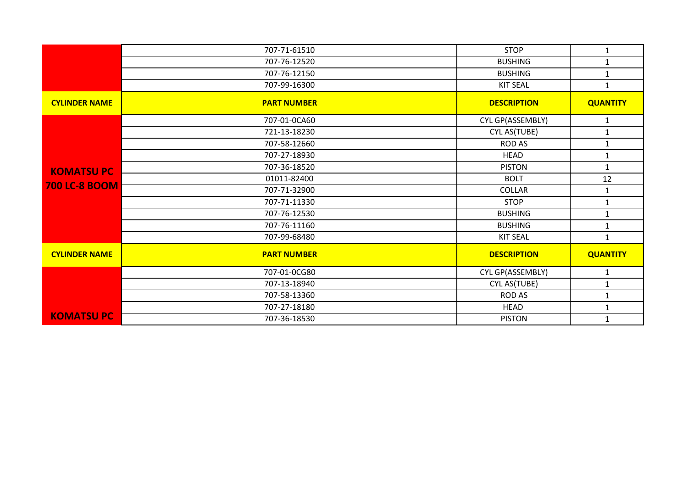|                      | 707-71-61510       | <b>STOP</b>        | $\mathbf{1}$    |
|----------------------|--------------------|--------------------|-----------------|
|                      | 707-76-12520       | <b>BUSHING</b>     | $\mathbf{1}$    |
|                      | 707-76-12150       | <b>BUSHING</b>     | $\mathbf{1}$    |
|                      | 707-99-16300       | <b>KIT SEAL</b>    | $\mathbf{1}$    |
| <b>CYLINDER NAME</b> | <b>PART NUMBER</b> | <b>DESCRIPTION</b> | <b>QUANTITY</b> |
|                      | 707-01-0CA60       | CYL GP(ASSEMBLY)   | $\mathbf{1}$    |
|                      | 721-13-18230       | CYL AS(TUBE)       | $\mathbf{1}$    |
|                      | 707-58-12660       | <b>ROD AS</b>      | $\mathbf{1}$    |
|                      | 707-27-18930       | <b>HEAD</b>        | 1               |
| <b>KOMATSU PC</b>    | 707-36-18520       | <b>PISTON</b>      | $\mathbf{1}$    |
|                      | 01011-82400        | <b>BOLT</b>        | 12              |
| <b>700 LC-8 BOOM</b> | 707-71-32900       | COLLAR             | $\mathbf{1}$    |
|                      | 707-71-11330       | <b>STOP</b>        | $\mathbf{1}$    |
|                      | 707-76-12530       | <b>BUSHING</b>     | $\mathbf{1}$    |
|                      | 707-76-11160       | <b>BUSHING</b>     | $\mathbf{1}$    |
|                      | 707-99-68480       | <b>KIT SEAL</b>    | $\mathbf{1}$    |
| <b>CYLINDER NAME</b> | <b>PART NUMBER</b> | <b>DESCRIPTION</b> | <b>QUANTITY</b> |
|                      | 707-01-0CG80       | CYL GP(ASSEMBLY)   | $\mathbf{1}$    |
|                      | 707-13-18940       | CYL AS(TUBE)       | $\mathbf{1}$    |
|                      | 707-58-13360       | <b>ROD AS</b>      | $\mathbf{1}$    |
|                      | 707-27-18180       | <b>HEAD</b>        | 1               |
| <b>KOMATSU PC</b>    | 707-36-18530       | <b>PISTON</b>      | $\mathbf{1}$    |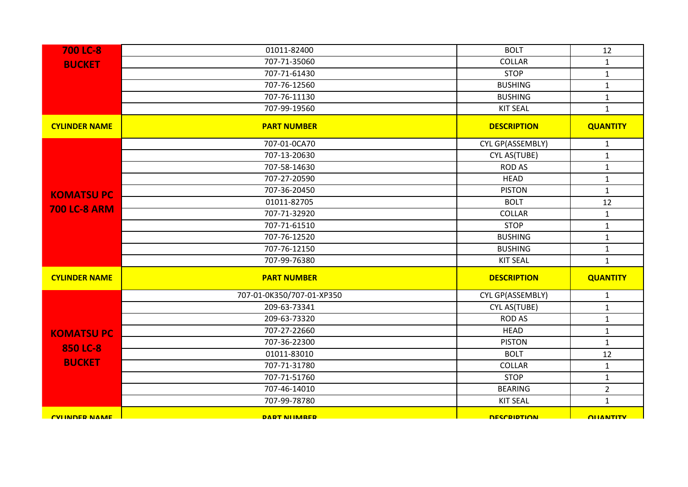| <b>700 LC-8</b>       | 01011-82400               | <b>BOLT</b>        | 12               |
|-----------------------|---------------------------|--------------------|------------------|
| <b>BUCKET</b>         | 707-71-35060              | COLLAR             | $\mathbf{1}$     |
|                       | 707-71-61430              | <b>STOP</b>        | $\mathbf 1$      |
|                       | 707-76-12560              | <b>BUSHING</b>     | $\mathbf{1}$     |
|                       | 707-76-11130              | <b>BUSHING</b>     | $\mathbf{1}$     |
|                       | 707-99-19560              | <b>KIT SEAL</b>    | $\mathbf{1}$     |
| <b>CYLINDER NAME</b>  | <b>PART NUMBER</b>        | <b>DESCRIPTION</b> | <b>QUANTITY</b>  |
|                       | 707-01-0CA70              | CYL GP(ASSEMBLY)   | $\mathbf{1}$     |
|                       | 707-13-20630              | CYL AS(TUBE)       | $\mathbf{1}$     |
|                       | 707-58-14630              | <b>ROD AS</b>      | $\mathbf 1$      |
|                       | 707-27-20590              | <b>HEAD</b>        | $\mathbf{1}$     |
| <b>KOMATSUPC</b>      | 707-36-20450              | <b>PISTON</b>      | $\mathbf{1}$     |
|                       | 01011-82705               | <b>BOLT</b>        | 12               |
| <b>700 LC-8 ARM</b>   | 707-71-32920              | COLLAR             | $\mathbf{1}$     |
|                       | 707-71-61510              | <b>STOP</b>        | $\mathbf{1}$     |
|                       | 707-76-12520              | <b>BUSHING</b>     | $\mathbf 1$      |
|                       | 707-76-12150              | <b>BUSHING</b>     | $\mathbf 1$      |
|                       | 707-99-76380              | <b>KIT SEAL</b>    | $\mathbf{1}$     |
| <b>CYLINDER NAME</b>  | <b>PART NUMBER</b>        | <b>DESCRIPTION</b> | <b>QUANTITY</b>  |
|                       | 707-01-0K350/707-01-XP350 | CYL GP(ASSEMBLY)   | $\mathbf{1}$     |
|                       | 209-63-73341              | CYL AS(TUBE)       | $\mathbf{1}$     |
|                       | 209-63-73320              | <b>ROD AS</b>      | $\mathbf{1}$     |
| <b>KOMATSUPC</b>      | 707-27-22660              | <b>HEAD</b>        | $\mathbf 1$      |
| 850 LC-8              | 707-36-22300              | <b>PISTON</b>      | $\mathbf{1}$     |
|                       | 01011-83010               | <b>BOLT</b>        | 12               |
| <b>BUCKET</b>         | 707-71-31780              | COLLAR             | $\mathbf{1}$     |
|                       | 707-71-51760              | <b>STOP</b>        | $\mathbf{1}$     |
|                       | 707-46-14010              | <b>BEARING</b>     | $\overline{2}$   |
|                       | 707-99-78780              | <b>KIT SEAL</b>    | $\mathbf{1}$     |
| <b>CVI INDER NAME</b> | <b>DART NIIMARFR</b>      | <b>DESCRIPTION</b> | <b>OLIANTITY</b> |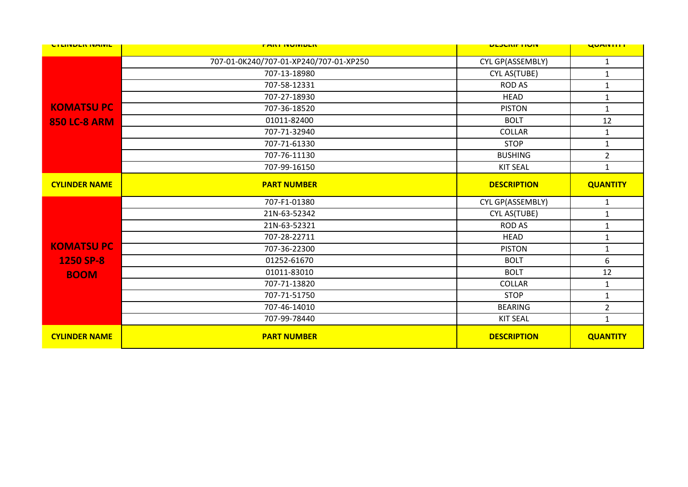| <b>UTLINDEN IVAIVIL</b> | <b>FARI INVIVIDEN</b>                  | <b>ULJUNIF HUIV</b> | <b>UUMITILI</b> |
|-------------------------|----------------------------------------|---------------------|-----------------|
|                         | 707-01-0K240/707-01-XP240/707-01-XP250 | CYL GP(ASSEMBLY)    | $\mathbf{1}$    |
|                         | 707-13-18980                           | CYL AS(TUBE)        | $\mathbf{1}$    |
|                         | 707-58-12331                           | <b>ROD AS</b>       | $\mathbf{1}$    |
|                         | 707-27-18930                           | <b>HEAD</b>         | $\mathbf{1}$    |
| <b>KOMATSUPC</b>        | 707-36-18520                           | <b>PISTON</b>       | $\mathbf{1}$    |
| <b>850 LC-8 ARM</b>     | 01011-82400                            | <b>BOLT</b>         | 12              |
|                         | 707-71-32940                           | <b>COLLAR</b>       | $\mathbf{1}$    |
|                         | 707-71-61330                           | <b>STOP</b>         | $\mathbf{1}$    |
|                         | 707-76-11130                           | <b>BUSHING</b>      | $\overline{2}$  |
|                         | 707-99-16150                           | <b>KIT SEAL</b>     | $\mathbf{1}$    |
| <b>CYLINDER NAME</b>    | <b>PART NUMBER</b>                     | <b>DESCRIPTION</b>  | <b>QUANTITY</b> |
|                         | 707-F1-01380                           | CYL GP(ASSEMBLY)    | $\mathbf{1}$    |
|                         | 21N-63-52342                           | CYL AS(TUBE)        | $\mathbf{1}$    |
|                         | 21N-63-52321                           | <b>ROD AS</b>       | $\mathbf{1}$    |
|                         | 707-28-22711                           | <b>HEAD</b>         | $\mathbf{1}$    |
| <b>KOMATSUPC</b>        | 707-36-22300                           | <b>PISTON</b>       | $\mathbf{1}$    |
| 1250 SP-8               | 01252-61670                            | <b>BOLT</b>         | 6               |
| <b>BOOM</b>             | 01011-83010                            | <b>BOLT</b>         | 12              |
|                         | 707-71-13820                           | <b>COLLAR</b>       | $\mathbf{1}$    |
|                         | 707-71-51750                           | <b>STOP</b>         | $\mathbf{1}$    |
|                         | 707-46-14010                           | <b>BEARING</b>      | $\overline{2}$  |
|                         | 707-99-78440                           | <b>KIT SEAL</b>     | $\mathbf{1}$    |
| <b>CYLINDER NAME</b>    | <b>PART NUMBER</b>                     | <b>DESCRIPTION</b>  | <b>QUANTITY</b> |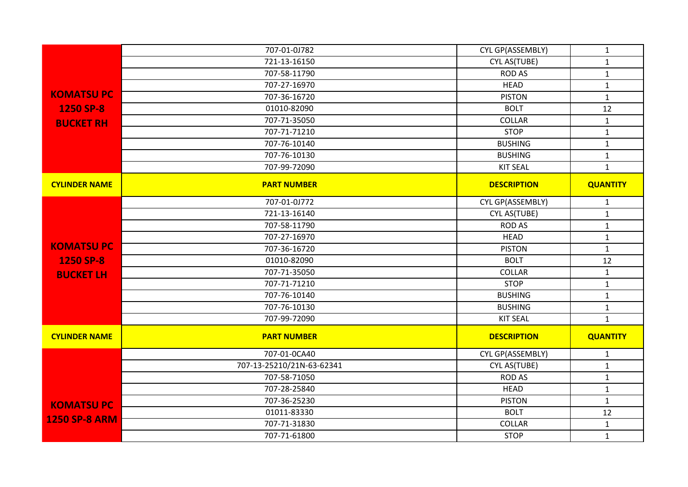|                      | 707-01-0J782              | CYL GP(ASSEMBLY)   | $\mathbf{1}$    |
|----------------------|---------------------------|--------------------|-----------------|
|                      | 721-13-16150              | CYL AS(TUBE)       | $\mathbf{1}$    |
|                      | 707-58-11790              | <b>ROD AS</b>      | $\mathbf{1}$    |
|                      | 707-27-16970              | <b>HEAD</b>        | $\mathbf{1}$    |
| <b>KOMATSUPC</b>     | 707-36-16720              | <b>PISTON</b>      | $\mathbf{1}$    |
| 1250 SP-8            | 01010-82090               | <b>BOLT</b>        | 12              |
| <b>BUCKET RH</b>     | 707-71-35050              | COLLAR             | $\mathbf{1}$    |
|                      | 707-71-71210              | <b>STOP</b>        | $\mathbf{1}$    |
|                      | 707-76-10140              | <b>BUSHING</b>     | $\mathbf{1}$    |
|                      | 707-76-10130              | <b>BUSHING</b>     | $\mathbf{1}$    |
|                      | 707-99-72090              | <b>KIT SEAL</b>    | $\mathbf{1}$    |
| <b>CYLINDER NAME</b> | <b>PART NUMBER</b>        | <b>DESCRIPTION</b> | <b>QUANTITY</b> |
|                      | 707-01-0J772              | CYL GP(ASSEMBLY)   | $\mathbf{1}$    |
|                      | 721-13-16140              | CYL AS(TUBE)       | $\mathbf{1}$    |
|                      | 707-58-11790              | <b>ROD AS</b>      | $\mathbf{1}$    |
|                      | 707-27-16970              | <b>HEAD</b>        | $\mathbf{1}$    |
| <b>KOMATSUPC</b>     | 707-36-16720              | <b>PISTON</b>      | $\mathbf{1}$    |
| 1250 SP-8            | 01010-82090               | <b>BOLT</b>        | 12              |
| <b>BUCKET LH</b>     | 707-71-35050              | <b>COLLAR</b>      | $\mathbf{1}$    |
|                      | 707-71-71210              | <b>STOP</b>        | $\mathbf{1}$    |
|                      | 707-76-10140              | <b>BUSHING</b>     | $\mathbf{1}$    |
|                      | 707-76-10130              | <b>BUSHING</b>     | $\mathbf{1}$    |
|                      | 707-99-72090              | <b>KIT SEAL</b>    | $\mathbf 1$     |
| <b>CYLINDER NAME</b> | <b>PART NUMBER</b>        | <b>DESCRIPTION</b> | <b>QUANTITY</b> |
|                      | 707-01-0CA40              | CYL GP(ASSEMBLY)   | $\mathbf{1}$    |
|                      | 707-13-25210/21N-63-62341 | CYL AS(TUBE)       | $\mathbf{1}$    |
|                      | 707-58-71050              | <b>ROD AS</b>      | $\mathbf{1}$    |
|                      | 707-28-25840              | <b>HEAD</b>        | $\mathbf{1}$    |
| <b>KOMATSUPC</b>     | 707-36-25230              | <b>PISTON</b>      | $\mathbf{1}$    |
| <b>1250 SP-8 ARM</b> | 01011-83330               | <b>BOLT</b>        | 12              |
|                      | 707-71-31830              | <b>COLLAR</b>      | $\mathbf{1}$    |
|                      | 707-71-61800              | <b>STOP</b>        | $\mathbf{1}$    |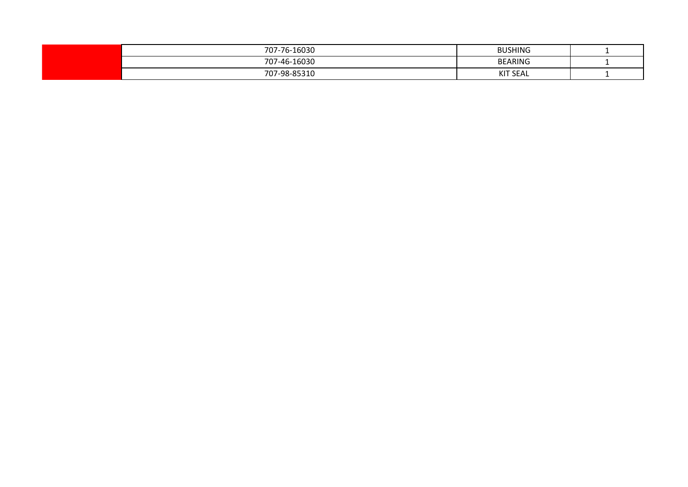| 707-76-16030 | <b>BUSHING</b>  |  |
|--------------|-----------------|--|
| 707-46-16030 | <b>BEARING</b>  |  |
| 707-98-85310 | <b>KIT SEAL</b> |  |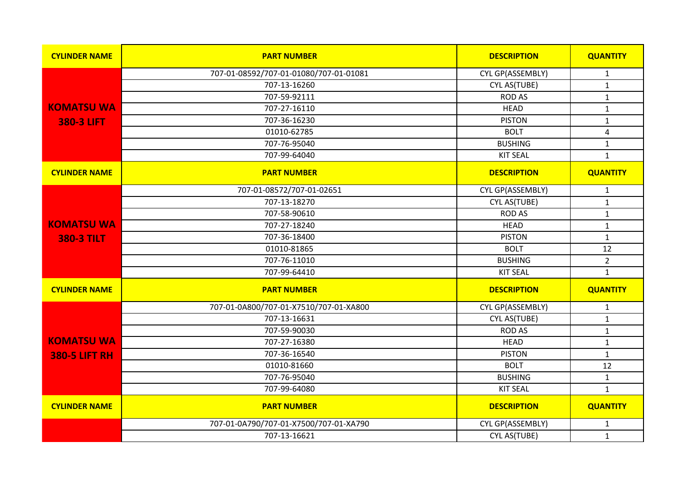| <b>CYLINDER NAME</b> | <b>PART NUMBER</b>                     | <b>DESCRIPTION</b> | <b>QUANTITY</b> |
|----------------------|----------------------------------------|--------------------|-----------------|
|                      | 707-01-08592/707-01-01080/707-01-01081 | CYL GP(ASSEMBLY)   | $\mathbf{1}$    |
|                      | 707-13-16260                           | CYL AS(TUBE)       | $\mathbf{1}$    |
|                      | 707-59-92111                           | <b>ROD AS</b>      | $\mathbf{1}$    |
| <b>KOMATSU WA</b>    | 707-27-16110                           | <b>HEAD</b>        | $\mathbf{1}$    |
| <b>380-3 LIFT</b>    | 707-36-16230                           | <b>PISTON</b>      | $\mathbf 1$     |
|                      | 01010-62785                            | <b>BOLT</b>        | $\pmb{4}$       |
|                      | 707-76-95040                           | <b>BUSHING</b>     | $\mathbf{1}$    |
|                      | 707-99-64040                           | <b>KIT SEAL</b>    | $\mathbf{1}$    |
| <b>CYLINDER NAME</b> | <b>PART NUMBER</b>                     | <b>DESCRIPTION</b> | <b>QUANTITY</b> |
|                      | 707-01-08572/707-01-02651              | CYL GP(ASSEMBLY)   | $\mathbf{1}$    |
|                      | 707-13-18270                           | CYL AS(TUBE)       | $\mathbf{1}$    |
|                      | 707-58-90610                           | <b>ROD AS</b>      | $\mathbf{1}$    |
| <b>KOMATSU WA</b>    | 707-27-18240                           | <b>HEAD</b>        | $\mathbf{1}$    |
| <b>380-3 TILT</b>    | 707-36-18400                           | <b>PISTON</b>      | $\mathbf{1}$    |
|                      | 01010-81865                            | <b>BOLT</b>        | 12              |
|                      | 707-76-11010                           | <b>BUSHING</b>     | $\overline{2}$  |
|                      | 707-99-64410                           | <b>KIT SEAL</b>    | $\mathbf{1}$    |
| <b>CYLINDER NAME</b> | <b>PART NUMBER</b>                     | <b>DESCRIPTION</b> | <b>QUANTITY</b> |
|                      | 707-01-0A800/707-01-X7510/707-01-XA800 | CYL GP(ASSEMBLY)   | 1               |
|                      | 707-13-16631                           | CYL AS(TUBE)       | $\mathbf{1}$    |
|                      | 707-59-90030                           | <b>ROD AS</b>      | $\mathbf{1}$    |
| <b>KOMATSU WA</b>    | 707-27-16380                           | <b>HEAD</b>        | $\mathbf{1}$    |
| <b>380-5 LIFT RH</b> | 707-36-16540                           | <b>PISTON</b>      | $\mathbf{1}$    |
|                      | 01010-81660                            | <b>BOLT</b>        | 12              |
|                      | 707-76-95040                           | <b>BUSHING</b>     | $\mathbf 1$     |
|                      | 707-99-64080                           | <b>KIT SEAL</b>    | $\mathbf{1}$    |
| <b>CYLINDER NAME</b> | <b>PART NUMBER</b>                     | <b>DESCRIPTION</b> | <b>QUANTITY</b> |
|                      | 707-01-0A790/707-01-X7500/707-01-XA790 | CYL GP(ASSEMBLY)   | 1               |
|                      | 707-13-16621                           | CYL AS(TUBE)       | $\mathbf{1}$    |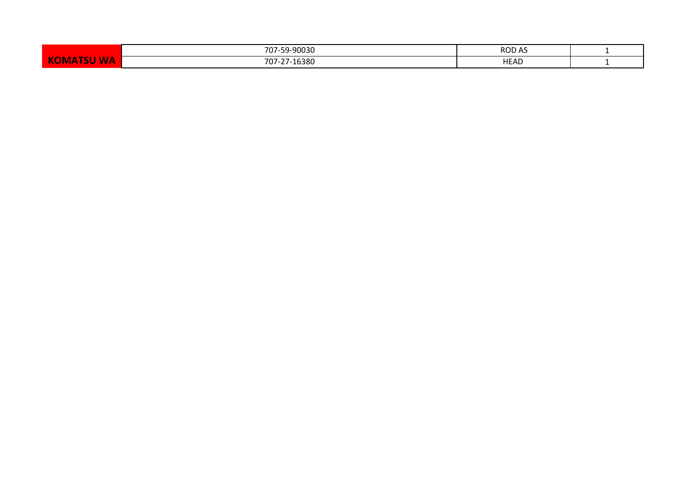|                        | -90030<br>707<br>- -               | <b>ROD</b><br>$\sim$ |  |
|------------------------|------------------------------------|----------------------|--|
| WL<br>VV M<br>ັ<br>. . | 27.16200<br>707<br>7 U Z<br>∙⊥050u | HEAD                 |  |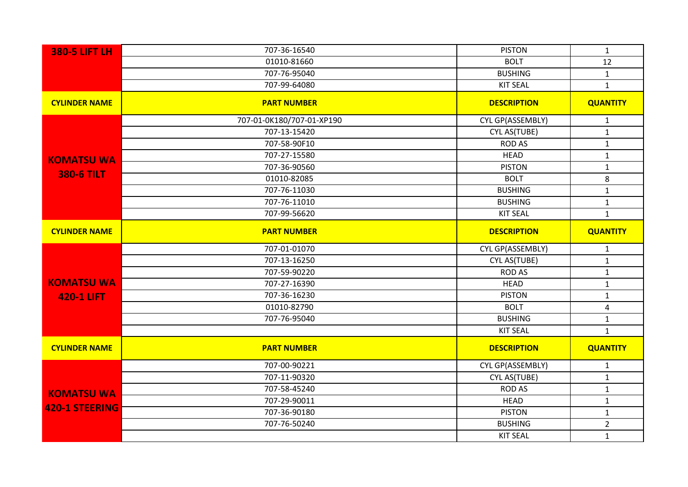| <b>380-5 LIFT LH</b>  | 707-36-16540              | <b>PISTON</b>      | $\mathbf{1}$    |
|-----------------------|---------------------------|--------------------|-----------------|
|                       | 01010-81660               | <b>BOLT</b>        | 12              |
|                       | 707-76-95040              | <b>BUSHING</b>     | $\mathbf{1}$    |
|                       | 707-99-64080              | <b>KIT SEAL</b>    | $\mathbf{1}$    |
| <b>CYLINDER NAME</b>  | <b>PART NUMBER</b>        | <b>DESCRIPTION</b> | <b>QUANTITY</b> |
|                       | 707-01-0K180/707-01-XP190 | CYL GP(ASSEMBLY)   | $\mathbf{1}$    |
|                       | 707-13-15420              | CYL AS(TUBE)       | $\mathbf{1}$    |
|                       | 707-58-90F10              | <b>ROD AS</b>      | $\mathbf{1}$    |
| <b>KOMATSU WA</b>     | 707-27-15580              | <b>HEAD</b>        | $\mathbf{1}$    |
|                       | 707-36-90560              | <b>PISTON</b>      | $\mathbf 1$     |
| <b>380-6 TILT</b>     | 01010-82085               | <b>BOLT</b>        | $\,8\,$         |
|                       | 707-76-11030              | <b>BUSHING</b>     | $\mathbf{1}$    |
|                       | 707-76-11010              | <b>BUSHING</b>     | $\mathbf{1}$    |
|                       | 707-99-56620              | <b>KIT SEAL</b>    | $\mathbf{1}$    |
| <b>CYLINDER NAME</b>  | <b>PART NUMBER</b>        | <b>DESCRIPTION</b> | <b>QUANTITY</b> |
|                       | 707-01-01070              | CYL GP(ASSEMBLY)   | $\mathbf{1}$    |
|                       | 707-13-16250              | CYL AS(TUBE)       | $\mathbf{1}$    |
|                       | 707-59-90220              | <b>ROD AS</b>      | $\mathbf 1$     |
| <b>KOMATSU WA</b>     | 707-27-16390              | <b>HEAD</b>        | $\mathbf 1$     |
| <b>420-1 LIFT</b>     | 707-36-16230              | <b>PISTON</b>      | $\mathbf{1}$    |
|                       | 01010-82790               | <b>BOLT</b>        | $\overline{4}$  |
|                       | 707-76-95040              | <b>BUSHING</b>     | $\mathbf{1}$    |
|                       |                           | <b>KIT SEAL</b>    | $\mathbf{1}$    |
| <b>CYLINDER NAME</b>  | <b>PART NUMBER</b>        | <b>DESCRIPTION</b> | <b>QUANTITY</b> |
|                       | 707-00-90221              | CYL GP(ASSEMBLY)   | $\mathbf{1}$    |
|                       | 707-11-90320              | CYL AS(TUBE)       | $\mathbf{1}$    |
| <b>KOMATSU WA</b>     | 707-58-45240              | <b>ROD AS</b>      | $\mathbf{1}$    |
|                       | 707-29-90011              | <b>HEAD</b>        | $\mathbf{1}$    |
| <b>420-1 STEERING</b> | 707-36-90180              | <b>PISTON</b>      | $\mathbf{1}$    |
|                       | 707-76-50240              | <b>BUSHING</b>     | $\overline{2}$  |
|                       |                           |                    |                 |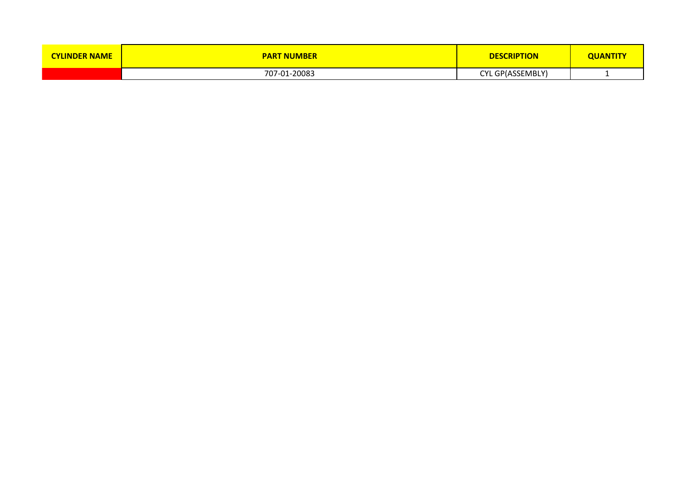| <b>CYLINDER NAME</b> | <b>PART NUMBER</b> | <b>DESCRIPTION</b> | <b>QUANTITY</b> |
|----------------------|--------------------|--------------------|-----------------|
|                      | 707-01-20083       | CYL GP(ASSEMBLY)   |                 |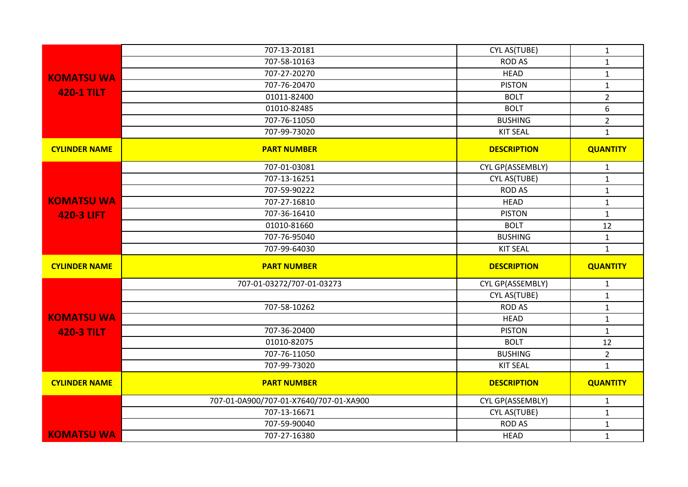|                      | 707-13-20181                           | CYL AS(TUBE)       | $\mathbf{1}$     |
|----------------------|----------------------------------------|--------------------|------------------|
|                      | 707-58-10163                           | <b>ROD AS</b>      | $\mathbf{1}$     |
| <b>KOMATSU WA</b>    | 707-27-20270                           | <b>HEAD</b>        | $\mathbf 1$      |
|                      | 707-76-20470                           | <b>PISTON</b>      | $\mathbf{1}$     |
| <b>420-1 TILT</b>    | 01011-82400                            | <b>BOLT</b>        | $\overline{2}$   |
|                      | 01010-82485                            | <b>BOLT</b>        | $\boldsymbol{6}$ |
|                      | 707-76-11050                           | <b>BUSHING</b>     | $\overline{2}$   |
|                      | 707-99-73020                           | <b>KIT SEAL</b>    | $\mathbf{1}$     |
| <b>CYLINDER NAME</b> | <b>PART NUMBER</b>                     | <b>DESCRIPTION</b> | <b>QUANTITY</b>  |
|                      | 707-01-03081                           | CYL GP(ASSEMBLY)   | $\mathbf{1}$     |
|                      | 707-13-16251                           | CYL AS(TUBE)       | $\mathbf{1}$     |
|                      | 707-59-90222                           | <b>ROD AS</b>      | $\mathbf 1$      |
| <b>KOMATSU WA</b>    | 707-27-16810                           | <b>HEAD</b>        | $\mathbf{1}$     |
| <b>420-3 LIFT</b>    | 707-36-16410                           | <b>PISTON</b>      | $\mathbf{1}$     |
|                      | 01010-81660                            | <b>BOLT</b>        | 12               |
|                      | 707-76-95040                           | <b>BUSHING</b>     | $\mathbf{1}$     |
|                      |                                        |                    |                  |
|                      | 707-99-64030                           | <b>KIT SEAL</b>    | $\mathbf{1}$     |
| <b>CYLINDER NAME</b> | <b>PART NUMBER</b>                     | <b>DESCRIPTION</b> | <b>QUANTITY</b>  |
|                      | 707-01-03272/707-01-03273              | CYL GP(ASSEMBLY)   | $\mathbf{1}$     |
|                      |                                        | CYL AS(TUBE)       | $\mathbf{1}$     |
|                      | 707-58-10262                           | <b>ROD AS</b>      | $\mathbf 1$      |
| <b>KOMATSU WA</b>    |                                        | <b>HEAD</b>        | $\mathbf{1}$     |
|                      | 707-36-20400                           | <b>PISTON</b>      | $\mathbf{1}$     |
| <b>420-3 TILT</b>    | 01010-82075                            | <b>BOLT</b>        | 12               |
|                      | 707-76-11050                           | <b>BUSHING</b>     | $\overline{2}$   |
|                      | 707-99-73020                           | <b>KIT SEAL</b>    | $\mathbf{1}$     |
| <b>CYLINDER NAME</b> | <b>PART NUMBER</b>                     | <b>DESCRIPTION</b> | <b>QUANTITY</b>  |
|                      | 707-01-0A900/707-01-X7640/707-01-XA900 | CYL GP(ASSEMBLY)   | $\mathbf{1}$     |
|                      | 707-13-16671                           | CYL AS(TUBE)       | $\mathbf{1}$     |
| <b>KOMATSU WA</b>    | 707-59-90040                           | <b>ROD AS</b>      | $\mathbf{1}$     |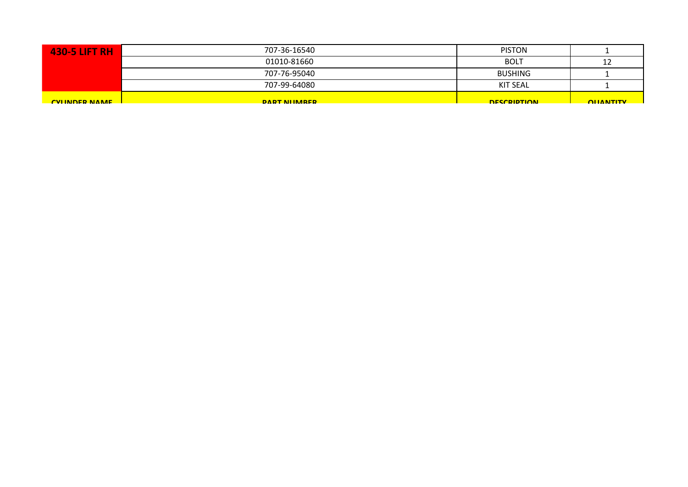| <b>430-5 LIFT RH</b> | 707-36-16540   | <b>PISTON</b>      |                  |
|----------------------|----------------|--------------------|------------------|
|                      | 01010-81660    | <b>BOLT</b>        | 12               |
|                      | 707-76-95040   | <b>BUSHING</b>     |                  |
|                      | 707-99-64080   | <b>KIT SEAL</b>    |                  |
| <b>CVIINDER NAME</b> | DART NILIMARER | <b>DESCRIPTION</b> | <b>OLIANTITY</b> |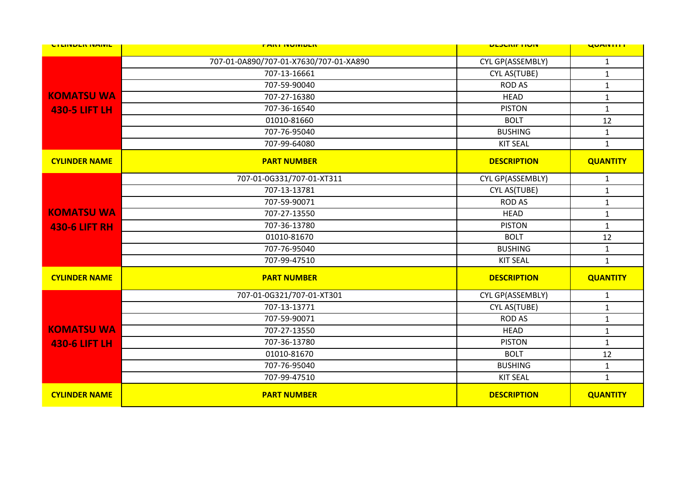| <b>UTLINDER IVAIVIL</b> | <b>FANI INVIVIDEN</b>                  | <b>ULJUNIF HUIV</b> | <b>UUMINIIII</b> |
|-------------------------|----------------------------------------|---------------------|------------------|
|                         | 707-01-0A890/707-01-X7630/707-01-XA890 | CYL GP(ASSEMBLY)    | $\mathbf{1}$     |
|                         | 707-13-16661                           | CYL AS(TUBE)        | $\mathbf{1}$     |
|                         | 707-59-90040                           | <b>ROD AS</b>       | $\mathbf{1}$     |
| <b>KOMATSU WA</b>       | 707-27-16380                           | <b>HEAD</b>         | $\mathbf{1}$     |
| <b>430-5 LIFT LH</b>    | 707-36-16540                           | <b>PISTON</b>       | $\mathbf{1}$     |
|                         | 01010-81660                            | <b>BOLT</b>         | 12               |
|                         | 707-76-95040                           | <b>BUSHING</b>      | $\mathbf{1}$     |
|                         | 707-99-64080                           | <b>KIT SEAL</b>     | $\mathbf{1}$     |
| <b>CYLINDER NAME</b>    | <b>PART NUMBER</b>                     | <b>DESCRIPTION</b>  | <b>QUANTITY</b>  |
|                         | 707-01-0G331/707-01-XT311              | CYL GP(ASSEMBLY)    | $\mathbf{1}$     |
|                         | 707-13-13781                           | CYL AS(TUBE)        | $\mathbf{1}$     |
|                         | 707-59-90071                           | <b>ROD AS</b>       | $\mathbf{1}$     |
| <b>KOMATSU WA</b>       | 707-27-13550                           | <b>HEAD</b>         | $\mathbf{1}$     |
| <b>430-6 LIFT RH</b>    | 707-36-13780                           | <b>PISTON</b>       | $\mathbf{1}$     |
|                         | 01010-81670                            | <b>BOLT</b>         | 12               |
|                         | 707-76-95040                           | <b>BUSHING</b>      | $\mathbf{1}$     |
|                         | 707-99-47510                           | <b>KIT SEAL</b>     | $\mathbf{1}$     |
| <b>CYLINDER NAME</b>    | <b>PART NUMBER</b>                     | <b>DESCRIPTION</b>  | <b>QUANTITY</b>  |
|                         | 707-01-0G321/707-01-XT301              | CYL GP(ASSEMBLY)    | $\mathbf{1}$     |
|                         | 707-13-13771                           | CYL AS(TUBE)        | $\mathbf{1}$     |
|                         | 707-59-90071                           | <b>ROD AS</b>       | $\mathbf{1}$     |
| <b>KOMATSU WA</b>       | 707-27-13550                           | <b>HEAD</b>         | $\mathbf{1}$     |
| <b>430-6 LIFT LH</b>    | 707-36-13780                           | <b>PISTON</b>       | $\mathbf{1}$     |
|                         | 01010-81670                            | <b>BOLT</b>         | 12               |
|                         | 707-76-95040                           | <b>BUSHING</b>      | $\mathbf{1}$     |
|                         | 707-99-47510                           | <b>KIT SEAL</b>     | $\mathbf{1}$     |
| <b>CYLINDER NAME</b>    | <b>PART NUMBER</b>                     | <b>DESCRIPTION</b>  | <b>QUANTITY</b>  |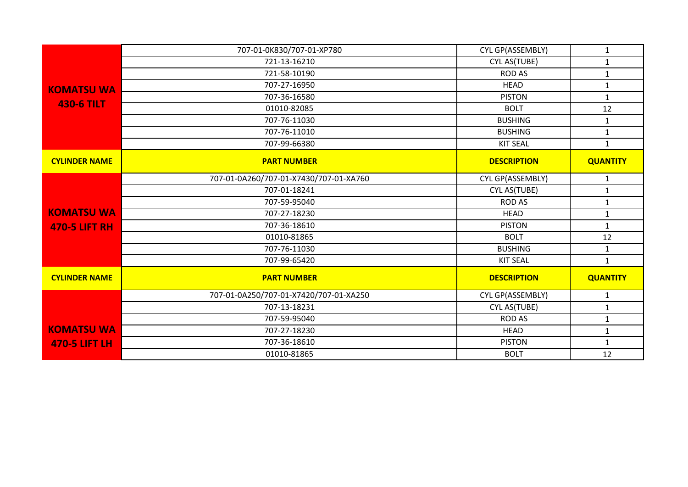|                      | 707-01-0K830/707-01-XP780              | CYL GP(ASSEMBLY)   | $\mathbf{1}$    |
|----------------------|----------------------------------------|--------------------|-----------------|
|                      | 721-13-16210                           | CYL AS(TUBE)       | $\mathbf{1}$    |
|                      | 721-58-10190                           | <b>ROD AS</b>      | $\mathbf{1}$    |
| <b>KOMATSU WA</b>    | 707-27-16950                           | <b>HEAD</b>        | $\mathbf{1}$    |
|                      | 707-36-16580                           | <b>PISTON</b>      | $\mathbf{1}$    |
| <b>430-6 TILT</b>    | 01010-82085                            | <b>BOLT</b>        | 12              |
|                      | 707-76-11030                           | <b>BUSHING</b>     | $\mathbf{1}$    |
|                      | 707-76-11010                           | <b>BUSHING</b>     | $\mathbf{1}$    |
|                      | 707-99-66380                           | <b>KIT SEAL</b>    | $\mathbf{1}$    |
| <b>CYLINDER NAME</b> | <b>PART NUMBER</b>                     | <b>DESCRIPTION</b> | <b>QUANTITY</b> |
|                      | 707-01-0A260/707-01-X7430/707-01-XA760 | CYL GP(ASSEMBLY)   | $\mathbf{1}$    |
|                      | 707-01-18241                           | CYL AS(TUBE)       | $\mathbf{1}$    |
|                      | 707-59-95040                           | <b>ROD AS</b>      | $\mathbf 1$     |
| <b>KOMATSU WA</b>    | 707-27-18230                           | <b>HEAD</b>        | $\mathbf 1$     |
| <b>470-5 LIFT RH</b> | 707-36-18610                           | <b>PISTON</b>      | $\mathbf{1}$    |
|                      | 01010-81865                            | <b>BOLT</b>        | 12              |
|                      | 707-76-11030                           | <b>BUSHING</b>     | $\mathbf{1}$    |
|                      | 707-99-65420                           | <b>KIT SEAL</b>    | $\mathbf{1}$    |
| <b>CYLINDER NAME</b> | <b>PART NUMBER</b>                     | <b>DESCRIPTION</b> | <b>QUANTITY</b> |
|                      | 707-01-0A250/707-01-X7420/707-01-XA250 | CYL GP(ASSEMBLY)   | $\mathbf{1}$    |
|                      | 707-13-18231                           | CYL AS(TUBE)       | $\mathbf{1}$    |
|                      | 707-59-95040                           | <b>ROD AS</b>      | $\mathbf{1}$    |
| <b>KOMATSU WA</b>    | 707-27-18230                           | <b>HEAD</b>        | $\mathbf 1$     |
| <b>470-5 LIFT LH</b> | 707-36-18610                           | <b>PISTON</b>      | $\mathbf{1}$    |
|                      | 01010-81865                            | <b>BOLT</b>        | 12              |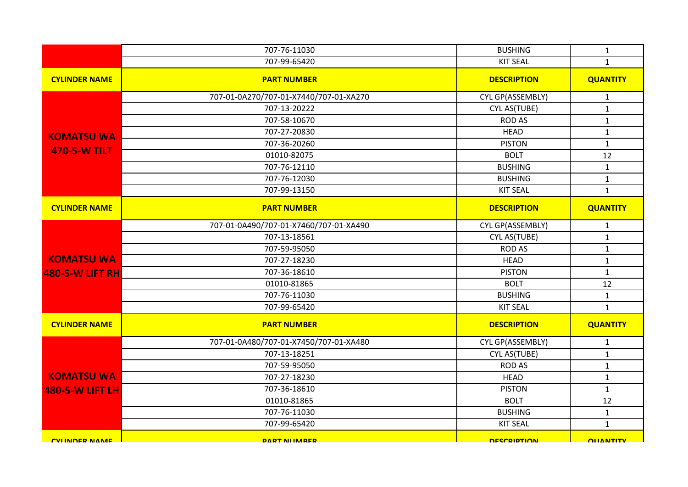|                         | 707-76-11030                           | <b>BUSHING</b>     | $\mathbf{1}$     |
|-------------------------|----------------------------------------|--------------------|------------------|
|                         | 707-99-65420                           | <b>KIT SEAL</b>    | $\mathbf{1}$     |
| <b>CYLINDER NAME</b>    | <b>PART NUMBER</b>                     | <b>DESCRIPTION</b> | <b>QUANTITY</b>  |
|                         | 707-01-0A270/707-01-X7440/707-01-XA270 | CYL GP(ASSEMBLY)   | $\mathbf{1}$     |
|                         | 707-13-20222                           | CYL AS(TUBE)       | $\mathbf{1}$     |
|                         | 707-58-10670                           | <b>ROD AS</b>      | $\mathbf{1}$     |
| <b>KOMATSU WA</b>       | 707-27-20830                           | <b>HEAD</b>        | $\mathbf 1$      |
| <b>470-5-W TILT</b>     | 707-36-20260                           | <b>PISTON</b>      | $\mathbf{1}$     |
|                         | 01010-82075                            | <b>BOLT</b>        | 12               |
|                         | 707-76-12110                           | <b>BUSHING</b>     | $\mathbf{1}$     |
|                         | 707-76-12030                           | <b>BUSHING</b>     | $\mathbf 1$      |
|                         | 707-99-13150                           | <b>KIT SEAL</b>    | $\mathbf{1}$     |
| <b>CYLINDER NAME</b>    | <b>PART NUMBER</b>                     | <b>DESCRIPTION</b> | <b>QUANTITY</b>  |
|                         | 707-01-0A490/707-01-X7460/707-01-XA490 | CYL GP(ASSEMBLY)   | $\mathbf{1}$     |
|                         | 707-13-18561                           | CYL AS(TUBE)       | $\mathbf 1$      |
|                         | 707-59-95050                           | <b>ROD AS</b>      | $\mathbf{1}$     |
| <b>KOMATSU WA</b>       | 707-27-18230                           | <b>HEAD</b>        | $\mathbf 1$      |
| <b>480-5-W LIFT RH</b>  | 707-36-18610                           | <b>PISTON</b>      | $\mathbf{1}$     |
|                         | 01010-81865                            | <b>BOLT</b>        | 12               |
|                         | 707-76-11030                           | <b>BUSHING</b>     | $\mathbf{1}$     |
|                         | 707-99-65420                           | <b>KIT SEAL</b>    | $\mathbf{1}$     |
| <b>CYLINDER NAME</b>    | <b>PART NUMBER</b>                     | <b>DESCRIPTION</b> | <b>QUANTITY</b>  |
|                         | 707-01-0A480/707-01-X7450/707-01-XA480 | CYL GP(ASSEMBLY)   | $\mathbf{1}$     |
|                         | 707-13-18251                           | CYL AS(TUBE)       | $\mathbf{1}$     |
|                         | 707-59-95050                           | <b>ROD AS</b>      | $\mathbf{1}$     |
| <b>KOMATSU WA</b>       | 707-27-18230                           | <b>HEAD</b>        | $\mathbf 1$      |
| <b>480-5-W LIFT LH</b>  | 707-36-18610                           | <b>PISTON</b>      | $\mathbf 1$      |
|                         | 01010-81865                            | <b>BOLT</b>        | 12               |
|                         | 707-76-11030                           | <b>BUSHING</b>     | $\mathbf 1$      |
|                         | 707-99-65420                           | <b>KIT SEAL</b>    | $\mathbf{1}$     |
| <b>CVILINIDER NIAME</b> | <b>DART NIIMARER</b>                   | <b>DESCRIPTION</b> | <b>OLIANTITY</b> |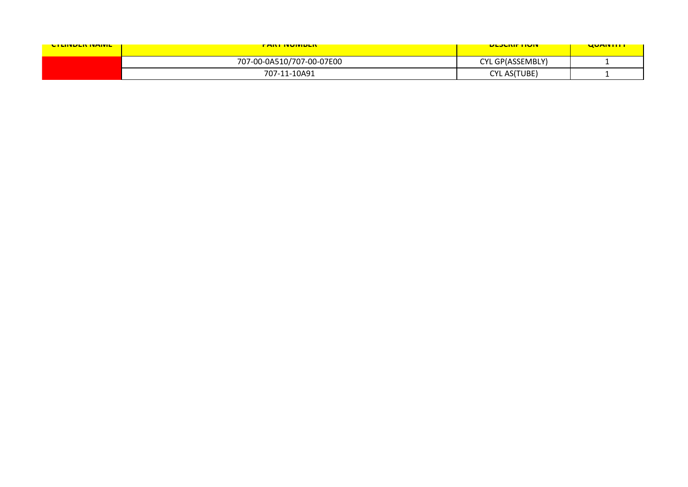| <b>CILINDER IVAIVIL</b> | <u>FANI IVUIVIDEN </u>    | <b>ULJUNIF HUIV</b> | <u>UUMITII I</u> |
|-------------------------|---------------------------|---------------------|------------------|
|                         | 707-00-0A510/707-00-07E00 | CYL GP(ASSEMBLY)    |                  |
|                         | 707-11-10A91              | <b>CYL AS(TUBE)</b> |                  |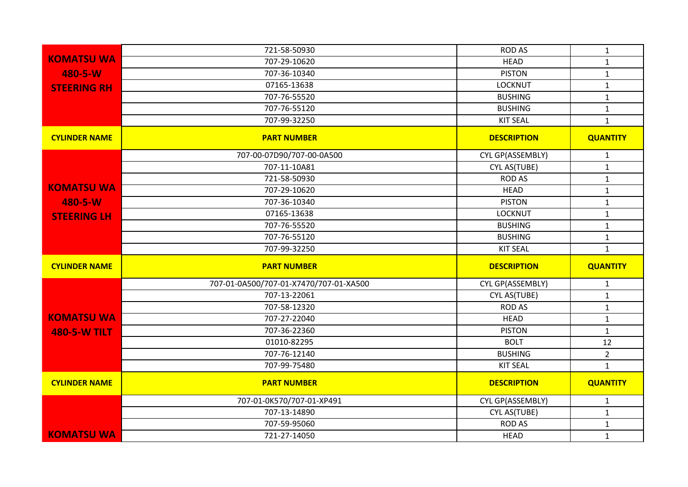|                      | 721-58-50930                           | <b>ROD AS</b>      | $\mathbf{1}$    |
|----------------------|----------------------------------------|--------------------|-----------------|
| <b>KOMATSU WA</b>    | 707-29-10620                           | <b>HEAD</b>        | $\mathbf{1}$    |
| 480-5-W              | 707-36-10340                           | <b>PISTON</b>      | $\mathbf{1}$    |
| <b>STEERING RH</b>   | 07165-13638                            | <b>LOCKNUT</b>     | $\mathbf{1}$    |
|                      | 707-76-55520                           | <b>BUSHING</b>     | $\mathbf{1}$    |
|                      | 707-76-55120                           | <b>BUSHING</b>     | $\mathbf{1}$    |
|                      | 707-99-32250                           | <b>KIT SEAL</b>    | $\mathbf{1}$    |
| <b>CYLINDER NAME</b> | <b>PART NUMBER</b>                     | <b>DESCRIPTION</b> | <b>QUANTITY</b> |
|                      | 707-00-07D90/707-00-0A500              | CYL GP(ASSEMBLY)   | $\mathbf{1}$    |
|                      | 707-11-10A81                           | CYL AS(TUBE)       | $\mathbf{1}$    |
|                      | 721-58-50930                           | <b>ROD AS</b>      | $\mathbf{1}$    |
| <b>KOMATSU WA</b>    | 707-29-10620                           | <b>HEAD</b>        | $\mathbf{1}$    |
| 480-5-W              | 707-36-10340                           | <b>PISTON</b>      | $\mathbf{1}$    |
| <b>STEERING LH</b>   | 07165-13638                            | <b>LOCKNUT</b>     | $\mathbf{1}$    |
|                      | 707-76-55520                           | <b>BUSHING</b>     | $\mathbf{1}$    |
|                      | 707-76-55120                           | <b>BUSHING</b>     | $\mathbf{1}$    |
|                      | 707-99-32250                           | <b>KIT SEAL</b>    | $\mathbf{1}$    |
| <b>CYLINDER NAME</b> | <b>PART NUMBER</b>                     | <b>DESCRIPTION</b> | <b>QUANTITY</b> |
|                      | 707-01-0A500/707-01-X7470/707-01-XA500 | CYL GP(ASSEMBLY)   | $\mathbf{1}$    |
|                      | 707-13-22061                           | CYL AS(TUBE)       | $\mathbf{1}$    |
|                      | 707-58-12320                           | <b>ROD AS</b>      | $\mathbf{1}$    |
| <b>KOMATSU WA</b>    | 707-27-22040                           | <b>HEAD</b>        | $\mathbf{1}$    |
| <b>480-5-W TILT</b>  | 707-36-22360                           | <b>PISTON</b>      | $\mathbf{1}$    |
|                      | 01010-82295                            | <b>BOLT</b>        | 12              |
|                      | 707-76-12140                           | <b>BUSHING</b>     | $\overline{2}$  |
|                      | 707-99-75480                           | <b>KIT SEAL</b>    | $\mathbf{1}$    |
| <b>CYLINDER NAME</b> | <b>PART NUMBER</b>                     | <b>DESCRIPTION</b> | <b>QUANTITY</b> |
|                      | 707-01-0K570/707-01-XP491              | CYL GP(ASSEMBLY)   | $\mathbf{1}$    |
|                      | 707-13-14890                           | CYL AS(TUBE)       | $\mathbf{1}$    |
|                      | 707-59-95060                           | <b>ROD AS</b>      | $\mathbf 1$     |
| <b>KOMATSU WA</b>    | 721-27-14050                           | <b>HEAD</b>        | $\mathbf{1}$    |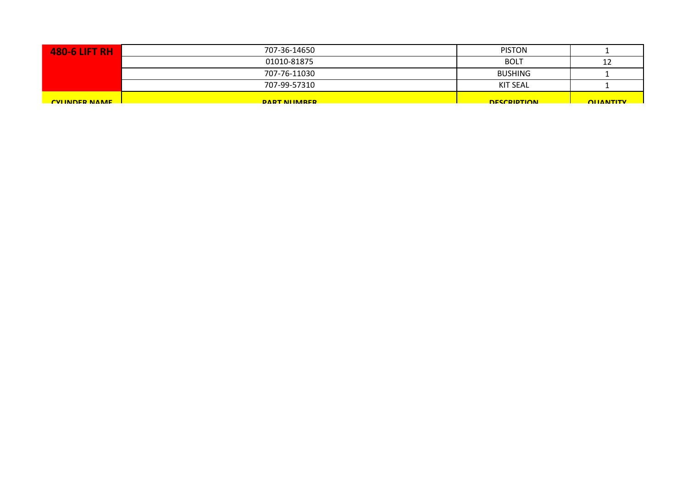| <b>480-6 LIFT RH</b> | 707-36-14650   | <b>PISTON</b>      |                  |
|----------------------|----------------|--------------------|------------------|
|                      | 01010-81875    | <b>BOLT</b>        | 12               |
|                      | 707-76-11030   | <b>BUSHING</b>     |                  |
|                      | 707-99-57310   | <b>KIT SEAL</b>    |                  |
| <b>CVIINDER NAME</b> | DART NILIMARER | <b>DESCRIPTION</b> | <b>OLIANTITY</b> |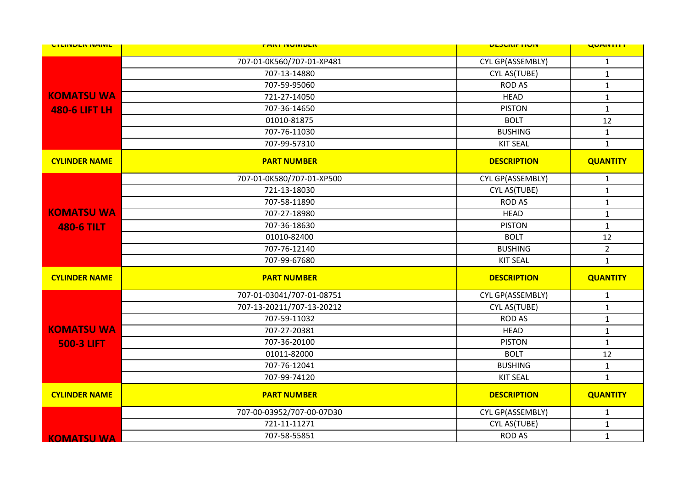| <b>UTLINDER INAIVIL</b> | <b>FARI INVIVIDER</b>     | <b>ULJUNIF HUIV</b> | <b>UUMINIII</b> |
|-------------------------|---------------------------|---------------------|-----------------|
|                         | 707-01-0K560/707-01-XP481 | CYL GP(ASSEMBLY)    | $\mathbf{1}$    |
|                         | 707-13-14880              | CYL AS(TUBE)        | $\mathbf{1}$    |
|                         | 707-59-95060              | <b>ROD AS</b>       | $\mathbf{1}$    |
| <b>KOMATSU WA</b>       | 721-27-14050              | <b>HEAD</b>         | $\mathbf 1$     |
| <b>480-6 LIFT LH</b>    | 707-36-14650              | <b>PISTON</b>       | $\mathbf{1}$    |
|                         | 01010-81875               | <b>BOLT</b>         | 12              |
|                         | 707-76-11030              | <b>BUSHING</b>      | $\mathbf{1}$    |
|                         | 707-99-57310              | <b>KIT SEAL</b>     | $\mathbf{1}$    |
| <b>CYLINDER NAME</b>    | <b>PART NUMBER</b>        | <b>DESCRIPTION</b>  | <b>QUANTITY</b> |
|                         | 707-01-0K580/707-01-XP500 | CYL GP(ASSEMBLY)    | $\mathbf{1}$    |
|                         | 721-13-18030              | CYL AS(TUBE)        | $\mathbf{1}$    |
|                         | 707-58-11890              | <b>ROD AS</b>       | $\mathbf{1}$    |
| <b>KOMATSU WA</b>       | 707-27-18980              | <b>HEAD</b>         | $\mathbf{1}$    |
| <b>480-6 TILT</b>       | 707-36-18630              | <b>PISTON</b>       | $\mathbf{1}$    |
|                         | 01010-82400               | <b>BOLT</b>         | 12              |
|                         | 707-76-12140              | <b>BUSHING</b>      | $\overline{2}$  |
|                         | 707-99-67680              | <b>KIT SEAL</b>     | $\mathbf{1}$    |
| <b>CYLINDER NAME</b>    | <b>PART NUMBER</b>        | <b>DESCRIPTION</b>  | <b>QUANTITY</b> |
|                         | 707-01-03041/707-01-08751 | CYL GP(ASSEMBLY)    | $\mathbf{1}$    |
|                         | 707-13-20211/707-13-20212 | CYL AS(TUBE)        | $\mathbf 1$     |
|                         | 707-59-11032              | <b>ROD AS</b>       | $\mathbf{1}$    |
| <b>KOMATSU WA</b>       | 707-27-20381              | <b>HEAD</b>         | $\mathbf{1}$    |
| <b>500-3 LIFT</b>       | 707-36-20100              | <b>PISTON</b>       | $\mathbf{1}$    |
|                         | 01011-82000               | <b>BOLT</b>         | 12              |
|                         | 707-76-12041              | <b>BUSHING</b>      | $\mathbf 1$     |
|                         | 707-99-74120              | <b>KIT SEAL</b>     | $\mathbf{1}$    |
| <b>CYLINDER NAME</b>    | <b>PART NUMBER</b>        | <b>DESCRIPTION</b>  | <b>QUANTITY</b> |
|                         | 707-00-03952/707-00-07D30 | CYL GP(ASSEMBLY)    | $\mathbf{1}$    |
|                         | 721-11-11271              | CYL AS(TUBE)        | $\mathbf{1}$    |
| <b>KOMATSU WA</b>       | 707-58-55851              | <b>ROD AS</b>       | $\mathbf{1}$    |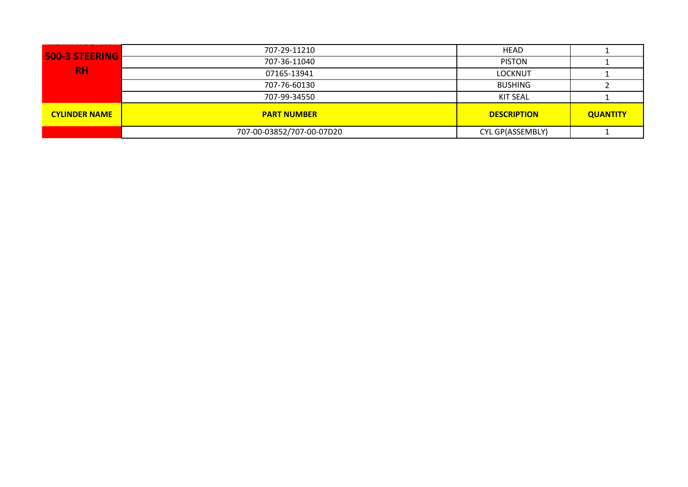|                       | 707-29-11210              | <b>HEAD</b>        |                 |
|-----------------------|---------------------------|--------------------|-----------------|
| <b>500-3 STEERING</b> | 707-36-11040              | <b>PISTON</b>      |                 |
| <b>RH</b>             | 07165-13941               | <b>LOCKNUT</b>     |                 |
|                       | 707-76-60130              | <b>BUSHING</b>     |                 |
|                       | 707-99-34550              | <b>KIT SEAL</b>    |                 |
| <b>CYLINDER NAME</b>  | <b>PART NUMBER</b>        | <b>DESCRIPTION</b> | <b>QUANTITY</b> |
|                       | 707-00-03852/707-00-07D20 | CYL GP(ASSEMBLY)   |                 |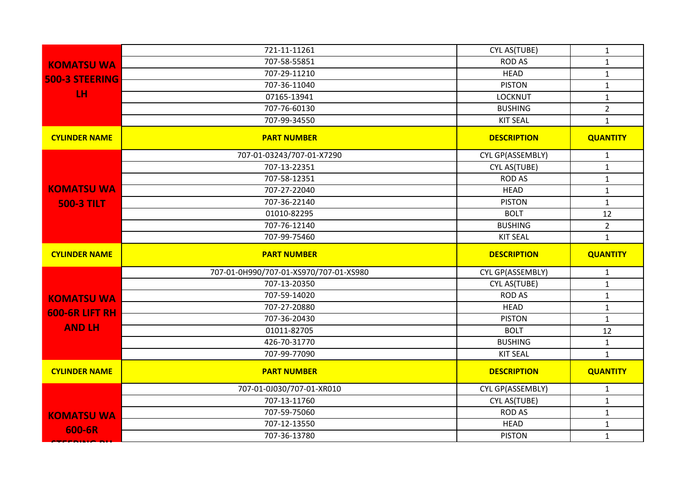|                       | 721-11-11261                           | CYL AS(TUBE)       | $\mathbf{1}$    |
|-----------------------|----------------------------------------|--------------------|-----------------|
| <b>KOMATSU WA</b>     | 707-58-55851                           | <b>ROD AS</b>      | $\mathbf{1}$    |
| <b>500-3 STEERING</b> | 707-29-11210                           | <b>HEAD</b>        | $\mathbf{1}$    |
|                       | 707-36-11040                           | <b>PISTON</b>      | $\mathbf{1}$    |
| LH.                   | 07165-13941                            | <b>LOCKNUT</b>     | $\mathbf{1}$    |
|                       | 707-76-60130                           | <b>BUSHING</b>     | $\overline{2}$  |
|                       | 707-99-34550                           | <b>KIT SEAL</b>    | $\mathbf{1}$    |
| <b>CYLINDER NAME</b>  | <b>PART NUMBER</b>                     | <b>DESCRIPTION</b> | <b>QUANTITY</b> |
|                       | 707-01-03243/707-01-X7290              | CYL GP(ASSEMBLY)   | $\mathbf{1}$    |
|                       | 707-13-22351                           | CYL AS(TUBE)       | $\mathbf{1}$    |
|                       | 707-58-12351                           | <b>ROD AS</b>      | $\mathbf{1}$    |
| <b>KOMATSU WA</b>     | 707-27-22040                           | <b>HEAD</b>        | $\mathbf{1}$    |
| <b>500-3 TILT</b>     | 707-36-22140                           | <b>PISTON</b>      | $\mathbf{1}$    |
|                       | 01010-82295                            | <b>BOLT</b>        | 12              |
|                       | 707-76-12140                           | <b>BUSHING</b>     | $\overline{2}$  |
|                       | 707-99-75460                           | <b>KIT SEAL</b>    | $\mathbf{1}$    |
|                       |                                        |                    |                 |
| <b>CYLINDER NAME</b>  | <b>PART NUMBER</b>                     | <b>DESCRIPTION</b> | <b>QUANTITY</b> |
|                       | 707-01-0H990/707-01-XS970/707-01-XS980 | CYL GP(ASSEMBLY)   | $\mathbf{1}$    |
|                       | 707-13-20350                           | CYL AS(TUBE)       | $\mathbf{1}$    |
|                       | 707-59-14020                           | <b>ROD AS</b>      | $\mathbf{1}$    |
| <b>KOMATSU WA</b>     | 707-27-20880                           | <b>HEAD</b>        | $\mathbf{1}$    |
| <b>600-6R LIFT RH</b> | 707-36-20430                           | <b>PISTON</b>      | $\mathbf{1}$    |
| <b>AND LH</b>         | 01011-82705                            | <b>BOLT</b>        | 12              |
|                       | 426-70-31770                           | <b>BUSHING</b>     | $\mathbf{1}$    |
|                       | 707-99-77090                           | <b>KIT SEAL</b>    | $\mathbf{1}$    |
| <b>CYLINDER NAME</b>  | <b>PART NUMBER</b>                     | <b>DESCRIPTION</b> | <b>QUANTITY</b> |
|                       | 707-01-0J030/707-01-XR010              | CYL GP(ASSEMBLY)   | $\mathbf{1}$    |
|                       | 707-13-11760                           | CYL AS(TUBE)       | $\mathbf{1}$    |
|                       | 707-59-75060                           | <b>ROD AS</b>      | $\mathbf{1}$    |
| <b>KOMATSU WA</b>     | 707-12-13550                           | <b>HEAD</b>        | $\mathbf{1}$    |
| 600-6R                | 707-36-13780                           | <b>PISTON</b>      | $\mathbf{1}$    |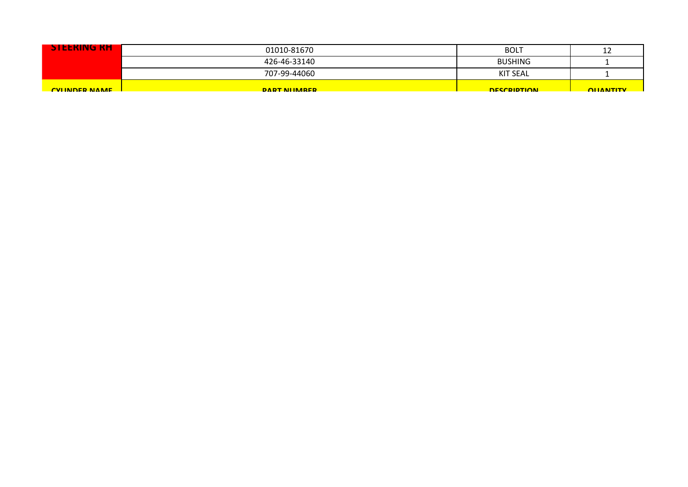| <b>STEERING RH</b>   | 01010-81670          | <b>BOLT</b>        | ᅩ               |
|----------------------|----------------------|--------------------|-----------------|
|                      | 426-46-33140         | <b>BUSHING</b>     |                 |
|                      | 707-99-44060         | KIT SEAL           |                 |
| <b>CVIINDER NAME</b> | <b>DART NIIMARER</b> | <b>DESCRIPTION</b> | <b>OHANTITY</b> |